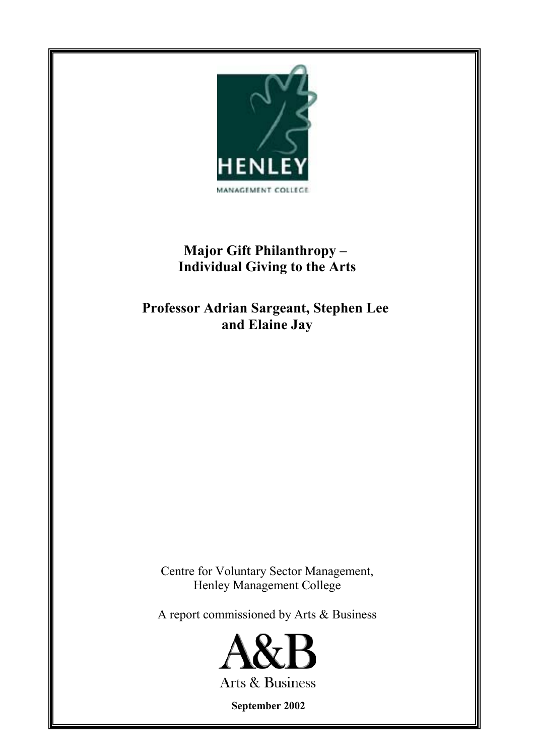

# **Major Gift Philanthropy – Individual Giving to the Arts**

**Professor Adrian Sargeant, Stephen Lee and Elaine Jay**

Centre for Voluntary Sector Management, Henley Management College

A report commissioned by Arts & Business



 **September 2002**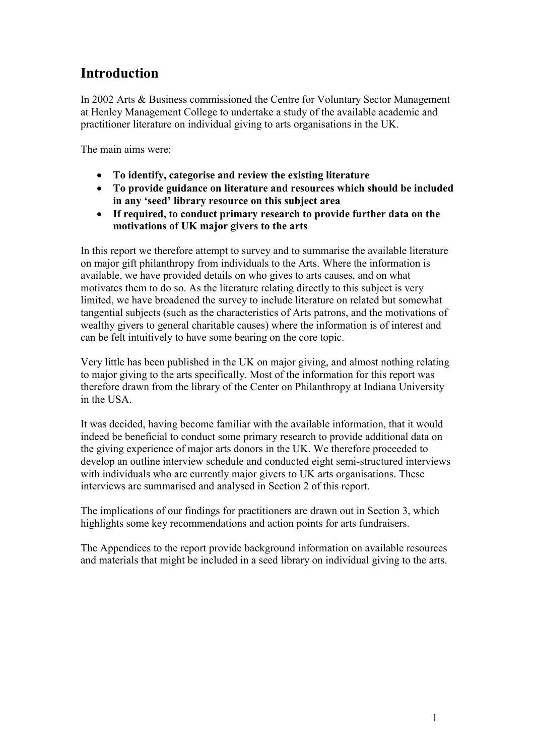# **Introduction**

In 2002 Arts & Business commissioned the Centre for Voluntary Sector Management at Henley Management College to undertake a study of the available academic and practitioner literature on individual giving to arts organisations in the UK.

The main aims were:

- **To identify, categorise and review the existing literature**
- **To provide guidance on literature and resources which should be included in any 'seed' library resource on this subject area**
- **If required, to conduct primary research to provide further data on the motivations of UK major givers to the arts**

In this report we therefore attempt to survey and to summarise the available literature on major gift philanthropy from individuals to the Arts. Where the information is available, we have provided details on who gives to arts causes, and on what motivates them to do so. As the literature relating directly to this subject is very limited, we have broadened the survey to include literature on related but somewhat tangential subjects (such as the characteristics of Arts patrons, and the motivations of wealthy givers to general charitable causes) where the information is of interest and can be felt intuitively to have some bearing on the core topic.

Very little has been published in the UK on major giving, and almost nothing relating to major giving to the arts specifically. Most of the information for this report was therefore drawn from the library of the Center on Philanthropy at Indiana University in the USA.

It was decided, having become familiar with the available information, that it would indeed be beneficial to conduct some primary research to provide additional data on the giving experience of major arts donors in the UK. We therefore proceeded to develop an outline interview schedule and conducted eight semi-structured interviews with individuals who are currently major givers to UK arts organisations. These interviews are summarised and analysed in Section 2 of this report.

The implications of our findings for practitioners are drawn out in Section 3, which highlights some key recommendations and action points for arts fundraisers.

The Appendices to the report provide background information on available resources and materials that might be included in a seed library on individual giving to the arts.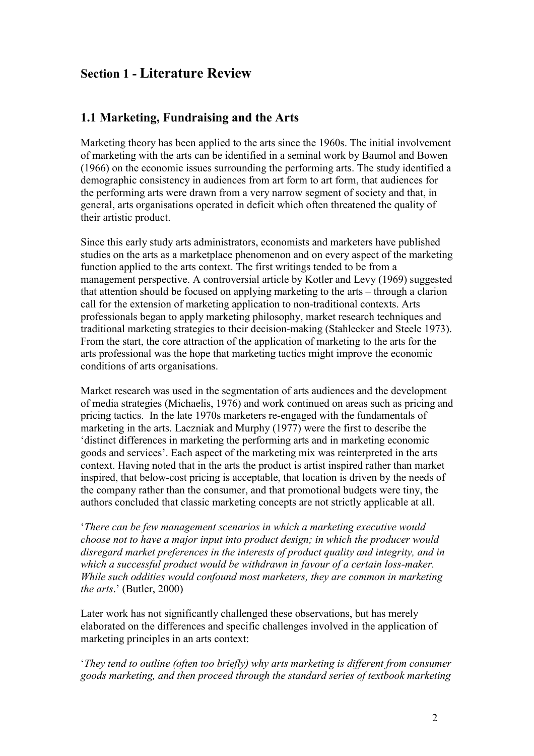# **Section 1 - Literature Review**

## **1.1 Marketing, Fundraising and the Arts**

Marketing theory has been applied to the arts since the 1960s. The initial involvement of marketing with the arts can be identified in a seminal work by Baumol and Bowen (1966) on the economic issues surrounding the performing arts. The study identified a demographic consistency in audiences from art form to art form, that audiences for the performing arts were drawn from a very narrow segment of society and that, in general, arts organisations operated in deficit which often threatened the quality of their artistic product.

Since this early study arts administrators, economists and marketers have published studies on the arts as a marketplace phenomenon and on every aspect of the marketing function applied to the arts context. The first writings tended to be from a management perspective. A controversial article by Kotler and Levy (1969) suggested that attention should be focused on applying marketing to the arts – through a clarion call for the extension of marketing application to non-traditional contexts. Arts professionals began to apply marketing philosophy, market research techniques and traditional marketing strategies to their decision-making (Stahlecker and Steele 1973). From the start, the core attraction of the application of marketing to the arts for the arts professional was the hope that marketing tactics might improve the economic conditions of arts organisations.

Market research was used in the segmentation of arts audiences and the development of media strategies (Michaelis, 1976) and work continued on areas such as pricing and pricing tactics. In the late 1970s marketers re-engaged with the fundamentals of marketing in the arts. Laczniak and Murphy (1977) were the first to describe the 'distinct differences in marketing the performing arts and in marketing economic goods and services'. Each aspect of the marketing mix was reinterpreted in the arts context. Having noted that in the arts the product is artist inspired rather than market inspired, that below-cost pricing is acceptable, that location is driven by the needs of the company rather than the consumer, and that promotional budgets were tiny, the authors concluded that classic marketing concepts are not strictly applicable at all.

'*There can be few management scenarios in which a marketing executive would choose not to have a major input into product design; in which the producer would disregard market preferences in the interests of product quality and integrity, and in which a successful product would be withdrawn in favour of a certain loss-maker. While such oddities would confound most marketers, they are common in marketing the arts*.' (Butler, 2000)

Later work has not significantly challenged these observations, but has merely elaborated on the differences and specific challenges involved in the application of marketing principles in an arts context:

'*They tend to outline (often too briefly) why arts marketing is different from consumer goods marketing, and then proceed through the standard series of textbook marketing*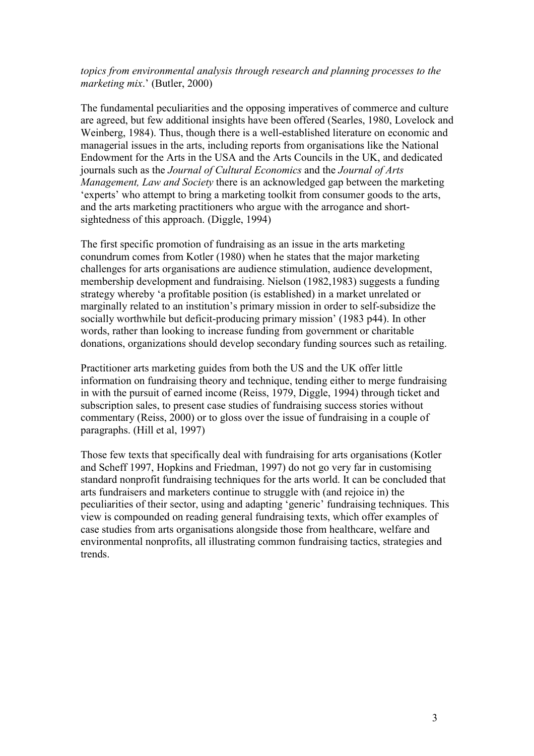#### *topics from environmental analysis through research and planning processes to the marketing mix*.' (Butler, 2000)

The fundamental peculiarities and the opposing imperatives of commerce and culture are agreed, but few additional insights have been offered (Searles, 1980, Lovelock and Weinberg, 1984). Thus, though there is a well-established literature on economic and managerial issues in the arts, including reports from organisations like the National Endowment for the Arts in the USA and the Arts Councils in the UK, and dedicated journals such as the *Journal of Cultural Economics* and the *Journal of Arts Management, Law and Society* there is an acknowledged gap between the marketing 'experts' who attempt to bring a marketing toolkit from consumer goods to the arts, and the arts marketing practitioners who argue with the arrogance and shortsightedness of this approach. (Diggle, 1994)

The first specific promotion of fundraising as an issue in the arts marketing conundrum comes from Kotler (1980) when he states that the major marketing challenges for arts organisations are audience stimulation, audience development, membership development and fundraising. Nielson (1982,1983) suggests a funding strategy whereby 'a profitable position (is established) in a market unrelated or marginally related to an institution's primary mission in order to self-subsidize the socially worthwhile but deficit-producing primary mission' (1983 p44). In other words, rather than looking to increase funding from government or charitable donations, organizations should develop secondary funding sources such as retailing.

Practitioner arts marketing guides from both the US and the UK offer little information on fundraising theory and technique, tending either to merge fundraising in with the pursuit of earned income (Reiss, 1979, Diggle, 1994) through ticket and subscription sales, to present case studies of fundraising success stories without commentary (Reiss, 2000) or to gloss over the issue of fundraising in a couple of paragraphs. (Hill et al, 1997)

Those few texts that specifically deal with fundraising for arts organisations (Kotler and Scheff 1997, Hopkins and Friedman, 1997) do not go very far in customising standard nonprofit fundraising techniques for the arts world. It can be concluded that arts fundraisers and marketers continue to struggle with (and rejoice in) the peculiarities of their sector, using and adapting 'generic' fundraising techniques. This view is compounded on reading general fundraising texts, which offer examples of case studies from arts organisations alongside those from healthcare, welfare and environmental nonprofits, all illustrating common fundraising tactics, strategies and trends.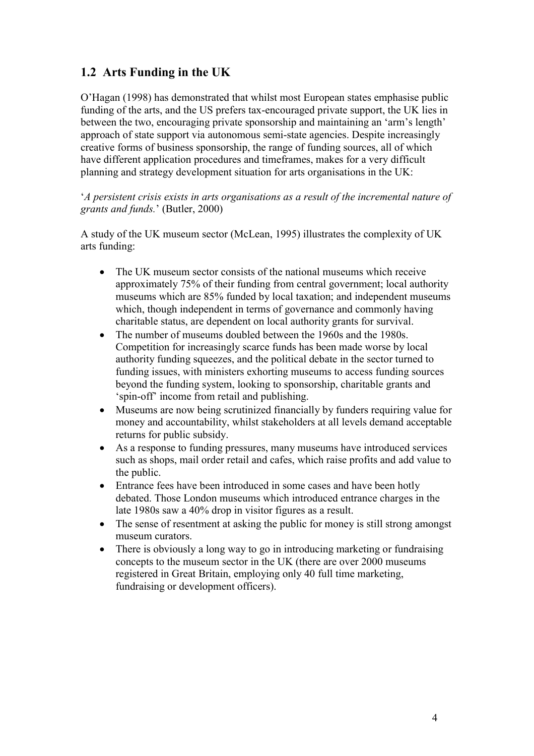# **1.2 Arts Funding in the UK**

O'Hagan (1998) has demonstrated that whilst most European states emphasise public funding of the arts, and the US prefers tax-encouraged private support, the UK lies in between the two, encouraging private sponsorship and maintaining an 'arm's length' approach of state support via autonomous semi-state agencies. Despite increasingly creative forms of business sponsorship, the range of funding sources, all of which have different application procedures and timeframes, makes for a very difficult planning and strategy development situation for arts organisations in the UK:

## '*A persistent crisis exists in arts organisations as a result of the incremental nature of grants and funds.*' (Butler, 2000)

A study of the UK museum sector (McLean, 1995) illustrates the complexity of UK arts funding:

- The UK museum sector consists of the national museums which receive approximately 75% of their funding from central government; local authority museums which are 85% funded by local taxation; and independent museums which, though independent in terms of governance and commonly having charitable status, are dependent on local authority grants for survival.
- The number of museums doubled between the 1960s and the 1980s. Competition for increasingly scarce funds has been made worse by local authority funding squeezes, and the political debate in the sector turned to funding issues, with ministers exhorting museums to access funding sources beyond the funding system, looking to sponsorship, charitable grants and 'spin-off' income from retail and publishing.
- Museums are now being scrutinized financially by funders requiring value for money and accountability, whilst stakeholders at all levels demand acceptable returns for public subsidy.
- As a response to funding pressures, many museums have introduced services such as shops, mail order retail and cafes, which raise profits and add value to the public.
- Entrance fees have been introduced in some cases and have been hotly debated. Those London museums which introduced entrance charges in the late 1980s saw a 40% drop in visitor figures as a result.
- The sense of resentment at asking the public for money is still strong amongst museum curators.
- There is obviously a long way to go in introducing marketing or fundraising concepts to the museum sector in the UK (there are over 2000 museums registered in Great Britain, employing only 40 full time marketing, fundraising or development officers).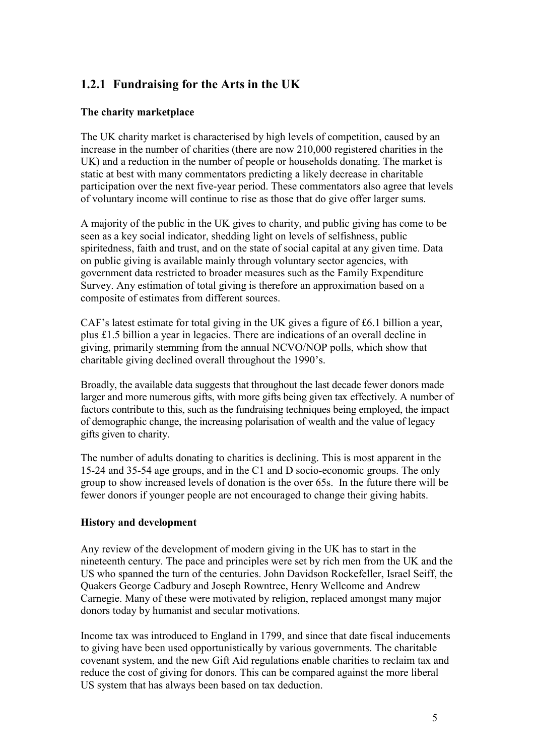# **1.2.1 Fundraising for the Arts in the UK**

## **The charity marketplace**

The UK charity market is characterised by high levels of competition, caused by an increase in the number of charities (there are now 210,000 registered charities in the UK) and a reduction in the number of people or households donating. The market is static at best with many commentators predicting a likely decrease in charitable participation over the next five-year period. These commentators also agree that levels of voluntary income will continue to rise as those that do give offer larger sums.

A majority of the public in the UK gives to charity, and public giving has come to be seen as a key social indicator, shedding light on levels of selfishness, public spiritedness, faith and trust, and on the state of social capital at any given time. Data on public giving is available mainly through voluntary sector agencies, with government data restricted to broader measures such as the Family Expenditure Survey. Any estimation of total giving is therefore an approximation based on a composite of estimates from different sources.

CAF's latest estimate for total giving in the UK gives a figure of £6.1 billion a year, plus £1.5 billion a year in legacies. There are indications of an overall decline in giving, primarily stemming from the annual NCVO/NOP polls, which show that charitable giving declined overall throughout the 1990's.

Broadly, the available data suggests that throughout the last decade fewer donors made larger and more numerous gifts, with more gifts being given tax effectively. A number of factors contribute to this, such as the fundraising techniques being employed, the impact of demographic change, the increasing polarisation of wealth and the value of legacy gifts given to charity.

The number of adults donating to charities is declining. This is most apparent in the 15-24 and 35-54 age groups, and in the C1 and D socio-economic groups. The only group to show increased levels of donation is the over 65s. In the future there will be fewer donors if younger people are not encouraged to change their giving habits.

## **History and development**

Any review of the development of modern giving in the UK has to start in the nineteenth century. The pace and principles were set by rich men from the UK and the US who spanned the turn of the centuries. John Davidson Rockefeller, Israel Seiff, the Quakers George Cadbury and Joseph Rowntree, Henry Wellcome and Andrew Carnegie. Many of these were motivated by religion, replaced amongst many major donors today by humanist and secular motivations.

Income tax was introduced to England in 1799, and since that date fiscal inducements to giving have been used opportunistically by various governments. The charitable covenant system, and the new Gift Aid regulations enable charities to reclaim tax and reduce the cost of giving for donors. This can be compared against the more liberal US system that has always been based on tax deduction.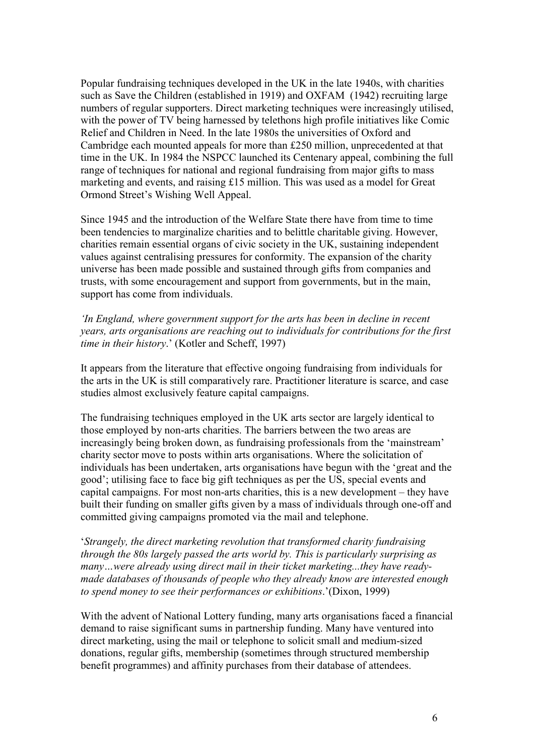Popular fundraising techniques developed in the UK in the late 1940s, with charities such as Save the Children (established in 1919) and OXFAM (1942) recruiting large numbers of regular supporters. Direct marketing techniques were increasingly utilised, with the power of TV being harnessed by telethons high profile initiatives like Comic Relief and Children in Need. In the late 1980s the universities of Oxford and Cambridge each mounted appeals for more than £250 million, unprecedented at that time in the UK. In 1984 the NSPCC launched its Centenary appeal, combining the full range of techniques for national and regional fundraising from major gifts to mass marketing and events, and raising £15 million. This was used as a model for Great Ormond Street's Wishing Well Appeal.

Since 1945 and the introduction of the Welfare State there have from time to time been tendencies to marginalize charities and to belittle charitable giving. However, charities remain essential organs of civic society in the UK, sustaining independent values against centralising pressures for conformity. The expansion of the charity universe has been made possible and sustained through gifts from companies and trusts, with some encouragement and support from governments, but in the main, support has come from individuals.

*'In England, where government support for the arts has been in decline in recent years, arts organisations are reaching out to individuals for contributions for the first time in their history*.' (Kotler and Scheff, 1997)

It appears from the literature that effective ongoing fundraising from individuals for the arts in the UK is still comparatively rare. Practitioner literature is scarce, and case studies almost exclusively feature capital campaigns.

The fundraising techniques employed in the UK arts sector are largely identical to those employed by non-arts charities. The barriers between the two areas are increasingly being broken down, as fundraising professionals from the 'mainstream' charity sector move to posts within arts organisations. Where the solicitation of individuals has been undertaken, arts organisations have begun with the 'great and the good'; utilising face to face big gift techniques as per the US, special events and capital campaigns. For most non-arts charities, this is a new development – they have built their funding on smaller gifts given by a mass of individuals through one-off and committed giving campaigns promoted via the mail and telephone.

'*Strangely, the direct marketing revolution that transformed charity fundraising through the 80s largely passed the arts world by. This is particularly surprising as many…were already using direct mail in their ticket marketing...they have readymade databases of thousands of people who they already know are interested enough to spend money to see their performances or exhibitions*.'(Dixon, 1999)

With the advent of National Lottery funding, many arts organisations faced a financial demand to raise significant sums in partnership funding. Many have ventured into direct marketing, using the mail or telephone to solicit small and medium-sized donations, regular gifts, membership (sometimes through structured membership benefit programmes) and affinity purchases from their database of attendees.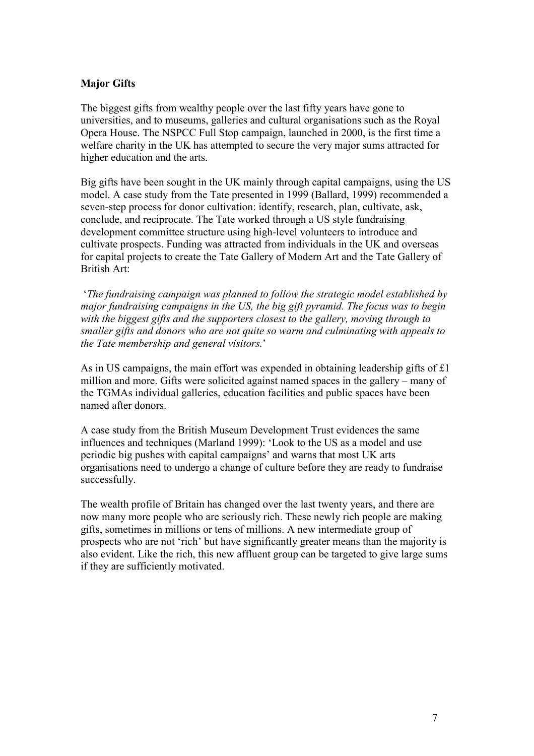## **Major Gifts**

The biggest gifts from wealthy people over the last fifty years have gone to universities, and to museums, galleries and cultural organisations such as the Royal Opera House. The NSPCC Full Stop campaign, launched in 2000, is the first time a welfare charity in the UK has attempted to secure the very major sums attracted for higher education and the arts.

Big gifts have been sought in the UK mainly through capital campaigns, using the US model. A case study from the Tate presented in 1999 (Ballard, 1999) recommended a seven-step process for donor cultivation: identify, research, plan, cultivate, ask, conclude, and reciprocate. The Tate worked through a US style fundraising development committee structure using high-level volunteers to introduce and cultivate prospects. Funding was attracted from individuals in the UK and overseas for capital projects to create the Tate Gallery of Modern Art and the Tate Gallery of British Art:

 '*The fundraising campaign was planned to follow the strategic model established by major fundraising campaigns in the US, the big gift pyramid. The focus was to begin with the biggest gifts and the supporters closest to the gallery, moving through to smaller gifts and donors who are not quite so warm and culminating with appeals to the Tate membership and general visitors.*'

As in US campaigns, the main effort was expended in obtaining leadership gifts of £1 million and more. Gifts were solicited against named spaces in the gallery – many of the TGMAs individual galleries, education facilities and public spaces have been named after donors.

A case study from the British Museum Development Trust evidences the same influences and techniques (Marland 1999): 'Look to the US as a model and use periodic big pushes with capital campaigns' and warns that most UK arts organisations need to undergo a change of culture before they are ready to fundraise successfully.

The wealth profile of Britain has changed over the last twenty years, and there are now many more people who are seriously rich. These newly rich people are making gifts, sometimes in millions or tens of millions. A new intermediate group of prospects who are not 'rich' but have significantly greater means than the majority is also evident. Like the rich, this new affluent group can be targeted to give large sums if they are sufficiently motivated.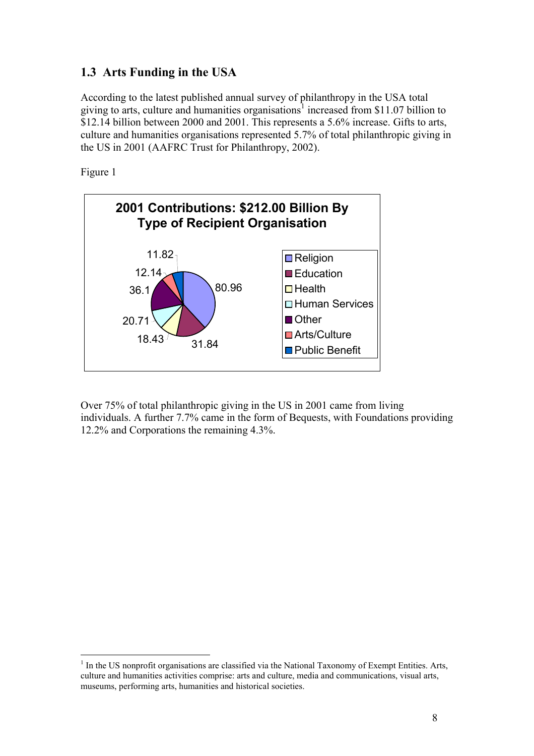# **1.3 Arts Funding in the USA**

According to the latest published annual survey of philanthropy in the USA total giving to arts, culture and humanities organisations<sup>1</sup> [i](#page-8-0)ncreased from \$11.07 billion to \$12.14 billion between 2000 and 2001. This represents a 5.6% increase. Gifts to arts, culture and humanities organisations represented 5.7% of total philanthropic giving in the US in 2001 (AAFRC Trust for Philanthropy, 2002).

Figure 1



Over 75% of total philanthropic giving in the US in 2001 came from living individuals. A further 7.7% came in the form of Bequests, with Foundations providing 12.2% and Corporations the remaining 4.3%.

<span id="page-8-0"></span> $\overline{a}$  $<sup>1</sup>$  In the US nonprofit organisations are classified via the National Taxonomy of Exempt Entities. Arts,</sup> culture and humanities activities comprise: arts and culture, media and communications, visual arts, museums, performing arts, humanities and historical societies.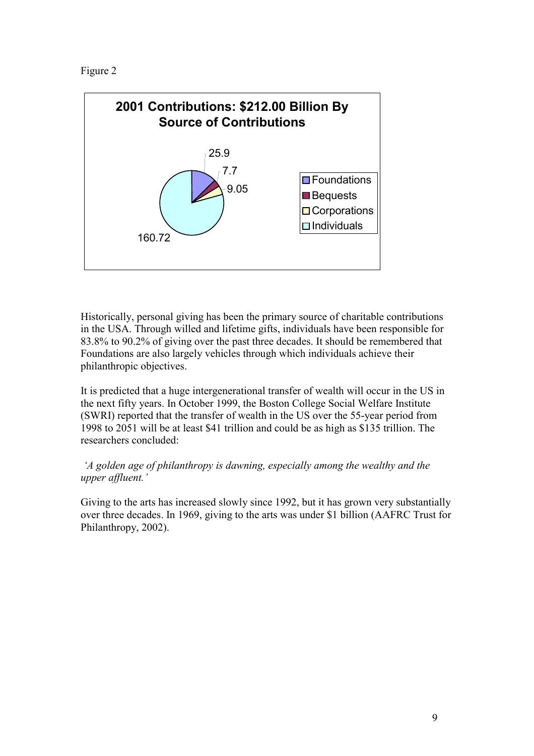



Historically, personal giving has been the primary source of charitable contributions in the USA. Through willed and lifetime gifts, individuals have been responsible for 83.8% to 90.2% of giving over the past three decades. It should be remembered that Foundations are also largely vehicles through which individuals achieve their philanthropic objectives.

It is predicted that a huge intergenerational transfer of wealth will occur in the US in the next fifty years. In October 1999, the Boston College Social Welfare Institute (SWRI) reported that the transfer of wealth in the US over the 55-year period from 1998 to 2051 will be at least \$41 trillion and could be as high as \$135 trillion. The researchers concluded:

## *'A golden age of philanthropy is dawning, especially among the wealthy and the upper affluent.'*

Giving to the arts has increased slowly since 1992, but it has grown very substantially over three decades. In 1969, giving to the arts was under \$1 billion (AAFRC Trust for Philanthropy, 2002).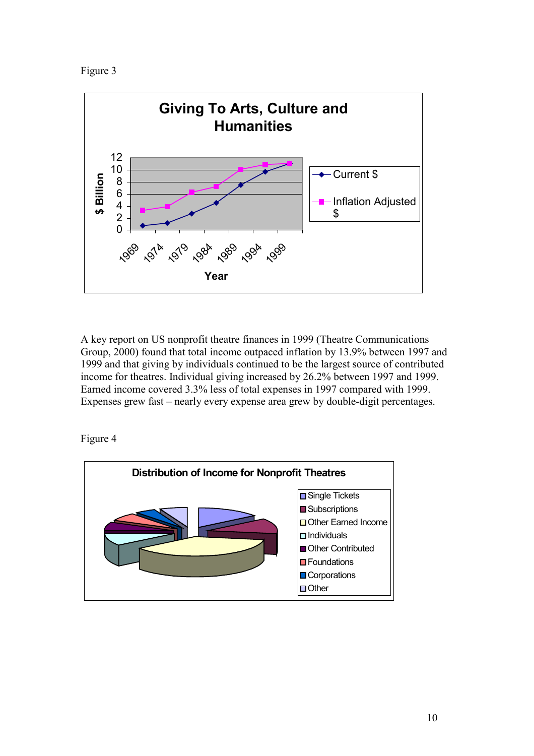



A key report on US nonprofit theatre finances in 1999 (Theatre Communications Group, 2000) found that total income outpaced inflation by 13.9% between 1997 and 1999 and that giving by individuals continued to be the largest source of contributed income for theatres. Individual giving increased by 26.2% between 1997 and 1999. Earned income covered 3.3% less of total expenses in 1997 compared with 1999. Expenses grew fast – nearly every expense area grew by double-digit percentages.

Figure 4

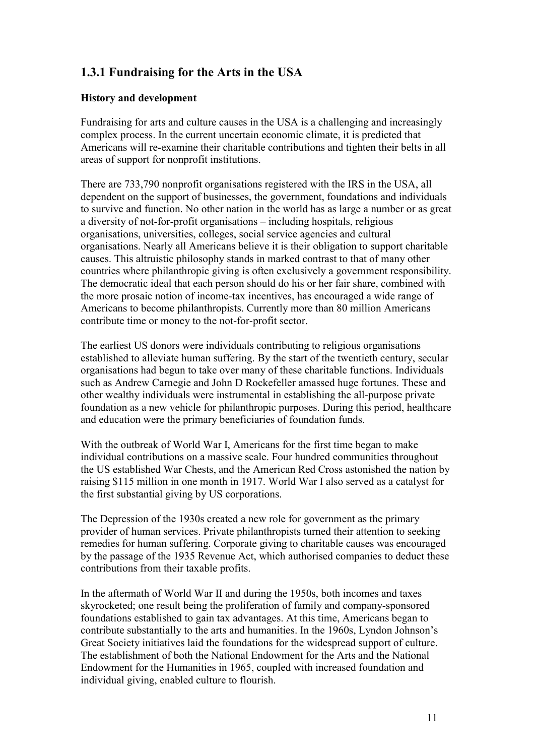# **1.3.1 Fundraising for the Arts in the USA**

## **History and development**

Fundraising for arts and culture causes in the USA is a challenging and increasingly complex process. In the current uncertain economic climate, it is predicted that Americans will re-examine their charitable contributions and tighten their belts in all areas of support for nonprofit institutions.

There are 733,790 nonprofit organisations registered with the IRS in the USA, all dependent on the support of businesses, the government, foundations and individuals to survive and function. No other nation in the world has as large a number or as great a diversity of not-for-profit organisations – including hospitals, religious organisations, universities, colleges, social service agencies and cultural organisations. Nearly all Americans believe it is their obligation to support charitable causes. This altruistic philosophy stands in marked contrast to that of many other countries where philanthropic giving is often exclusively a government responsibility. The democratic ideal that each person should do his or her fair share, combined with the more prosaic notion of income-tax incentives, has encouraged a wide range of Americans to become philanthropists. Currently more than 80 million Americans contribute time or money to the not-for-profit sector.

The earliest US donors were individuals contributing to religious organisations established to alleviate human suffering. By the start of the twentieth century, secular organisations had begun to take over many of these charitable functions. Individuals such as Andrew Carnegie and John D Rockefeller amassed huge fortunes. These and other wealthy individuals were instrumental in establishing the all-purpose private foundation as a new vehicle for philanthropic purposes. During this period, healthcare and education were the primary beneficiaries of foundation funds.

With the outbreak of World War I, Americans for the first time began to make individual contributions on a massive scale. Four hundred communities throughout the US established War Chests, and the American Red Cross astonished the nation by raising \$115 million in one month in 1917. World War I also served as a catalyst for the first substantial giving by US corporations.

The Depression of the 1930s created a new role for government as the primary provider of human services. Private philanthropists turned their attention to seeking remedies for human suffering. Corporate giving to charitable causes was encouraged by the passage of the 1935 Revenue Act, which authorised companies to deduct these contributions from their taxable profits.

In the aftermath of World War II and during the 1950s, both incomes and taxes skyrocketed; one result being the proliferation of family and company-sponsored foundations established to gain tax advantages. At this time, Americans began to contribute substantially to the arts and humanities. In the 1960s, Lyndon Johnson's Great Society initiatives laid the foundations for the widespread support of culture. The establishment of both the National Endowment for the Arts and the National Endowment for the Humanities in 1965, coupled with increased foundation and individual giving, enabled culture to flourish.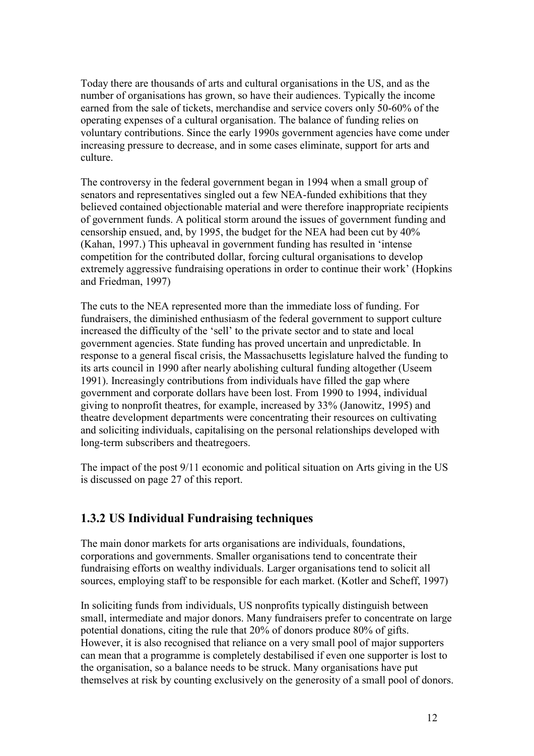Today there are thousands of arts and cultural organisations in the US, and as the number of organisations has grown, so have their audiences. Typically the income earned from the sale of tickets, merchandise and service covers only 50-60% of the operating expenses of a cultural organisation. The balance of funding relies on voluntary contributions. Since the early 1990s government agencies have come under increasing pressure to decrease, and in some cases eliminate, support for arts and culture.

The controversy in the federal government began in 1994 when a small group of senators and representatives singled out a few NEA-funded exhibitions that they believed contained objectionable material and were therefore inappropriate recipients of government funds. A political storm around the issues of government funding and censorship ensued, and, by 1995, the budget for the NEA had been cut by 40% (Kahan, 1997.) This upheaval in government funding has resulted in 'intense competition for the contributed dollar, forcing cultural organisations to develop extremely aggressive fundraising operations in order to continue their work' (Hopkins and Friedman, 1997)

The cuts to the NEA represented more than the immediate loss of funding. For fundraisers, the diminished enthusiasm of the federal government to support culture increased the difficulty of the 'sell' to the private sector and to state and local government agencies. State funding has proved uncertain and unpredictable. In response to a general fiscal crisis, the Massachusetts legislature halved the funding to its arts council in 1990 after nearly abolishing cultural funding altogether (Useem 1991). Increasingly contributions from individuals have filled the gap where government and corporate dollars have been lost. From 1990 to 1994, individual giving to nonprofit theatres, for example, increased by 33% (Janowitz, 1995) and theatre development departments were concentrating their resources on cultivating and soliciting individuals, capitalising on the personal relationships developed with long-term subscribers and theatregoers.

The impact of the post 9/11 economic and political situation on Arts giving in the US is discussed on page 27 of this report.

## **1.3.2 US Individual Fundraising techniques**

The main donor markets for arts organisations are individuals, foundations, corporations and governments. Smaller organisations tend to concentrate their fundraising efforts on wealthy individuals. Larger organisations tend to solicit all sources, employing staff to be responsible for each market. (Kotler and Scheff, 1997)

In soliciting funds from individuals, US nonprofits typically distinguish between small, intermediate and major donors. Many fundraisers prefer to concentrate on large potential donations, citing the rule that 20% of donors produce 80% of gifts. However, it is also recognised that reliance on a very small pool of major supporters can mean that a programme is completely destabilised if even one supporter is lost to the organisation, so a balance needs to be struck. Many organisations have put themselves at risk by counting exclusively on the generosity of a small pool of donors.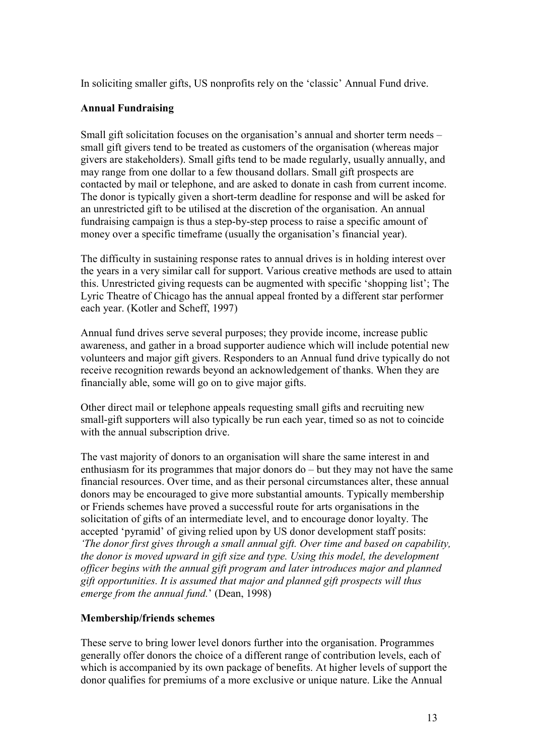In soliciting smaller gifts, US nonprofits rely on the 'classic' Annual Fund drive.

## **Annual Fundraising**

Small gift solicitation focuses on the organisation's annual and shorter term needs – small gift givers tend to be treated as customers of the organisation (whereas major givers are stakeholders). Small gifts tend to be made regularly, usually annually, and may range from one dollar to a few thousand dollars. Small gift prospects are contacted by mail or telephone, and are asked to donate in cash from current income. The donor is typically given a short-term deadline for response and will be asked for an unrestricted gift to be utilised at the discretion of the organisation. An annual fundraising campaign is thus a step-by-step process to raise a specific amount of money over a specific timeframe (usually the organisation's financial year).

The difficulty in sustaining response rates to annual drives is in holding interest over the years in a very similar call for support. Various creative methods are used to attain this. Unrestricted giving requests can be augmented with specific 'shopping list'; The Lyric Theatre of Chicago has the annual appeal fronted by a different star performer each year. (Kotler and Scheff, 1997)

Annual fund drives serve several purposes; they provide income, increase public awareness, and gather in a broad supporter audience which will include potential new volunteers and major gift givers. Responders to an Annual fund drive typically do not receive recognition rewards beyond an acknowledgement of thanks. When they are financially able, some will go on to give major gifts.

Other direct mail or telephone appeals requesting small gifts and recruiting new small-gift supporters will also typically be run each year, timed so as not to coincide with the annual subscription drive.

The vast majority of donors to an organisation will share the same interest in and enthusiasm for its programmes that major donors do – but they may not have the same financial resources. Over time, and as their personal circumstances alter, these annual donors may be encouraged to give more substantial amounts. Typically membership or Friends schemes have proved a successful route for arts organisations in the solicitation of gifts of an intermediate level, and to encourage donor loyalty. The accepted 'pyramid' of giving relied upon by US donor development staff posits: *'The donor first gives through a small annual gift. Over time and based on capability, the donor is moved upward in gift size and type. Using this model, the development officer begins with the annual gift program and later introduces major and planned gift opportunities. It is assumed that major and planned gift prospects will thus emerge from the annual fund.*' (Dean, 1998)

## **Membership/friends schemes**

These serve to bring lower level donors further into the organisation. Programmes generally offer donors the choice of a different range of contribution levels, each of which is accompanied by its own package of benefits. At higher levels of support the donor qualifies for premiums of a more exclusive or unique nature. Like the Annual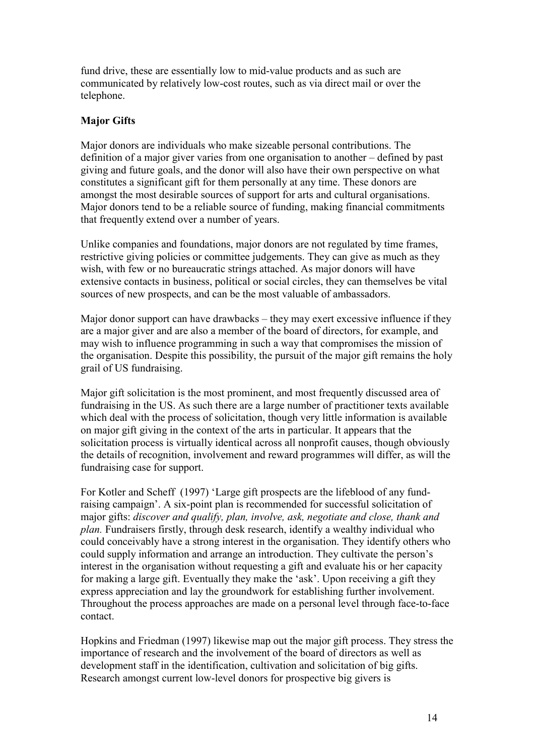fund drive, these are essentially low to mid-value products and as such are communicated by relatively low-cost routes, such as via direct mail or over the telephone.

## **Major Gifts**

Major donors are individuals who make sizeable personal contributions. The definition of a major giver varies from one organisation to another – defined by past giving and future goals, and the donor will also have their own perspective on what constitutes a significant gift for them personally at any time. These donors are amongst the most desirable sources of support for arts and cultural organisations. Major donors tend to be a reliable source of funding, making financial commitments that frequently extend over a number of years.

Unlike companies and foundations, major donors are not regulated by time frames, restrictive giving policies or committee judgements. They can give as much as they wish, with few or no bureaucratic strings attached. As major donors will have extensive contacts in business, political or social circles, they can themselves be vital sources of new prospects, and can be the most valuable of ambassadors.

Major donor support can have drawbacks – they may exert excessive influence if they are a major giver and are also a member of the board of directors, for example, and may wish to influence programming in such a way that compromises the mission of the organisation. Despite this possibility, the pursuit of the major gift remains the holy grail of US fundraising.

Major gift solicitation is the most prominent, and most frequently discussed area of fundraising in the US. As such there are a large number of practitioner texts available which deal with the process of solicitation, though very little information is available on major gift giving in the context of the arts in particular. It appears that the solicitation process is virtually identical across all nonprofit causes, though obviously the details of recognition, involvement and reward programmes will differ, as will the fundraising case for support.

For Kotler and Scheff (1997) 'Large gift prospects are the lifeblood of any fundraising campaign'. A six-point plan is recommended for successful solicitation of major gifts: *discover and qualify, plan, involve, ask, negotiate and close, thank and plan.* Fundraisers firstly, through desk research, identify a wealthy individual who could conceivably have a strong interest in the organisation. They identify others who could supply information and arrange an introduction. They cultivate the person's interest in the organisation without requesting a gift and evaluate his or her capacity for making a large gift. Eventually they make the 'ask'. Upon receiving a gift they express appreciation and lay the groundwork for establishing further involvement. Throughout the process approaches are made on a personal level through face-to-face contact.

Hopkins and Friedman (1997) likewise map out the major gift process. They stress the importance of research and the involvement of the board of directors as well as development staff in the identification, cultivation and solicitation of big gifts. Research amongst current low-level donors for prospective big givers is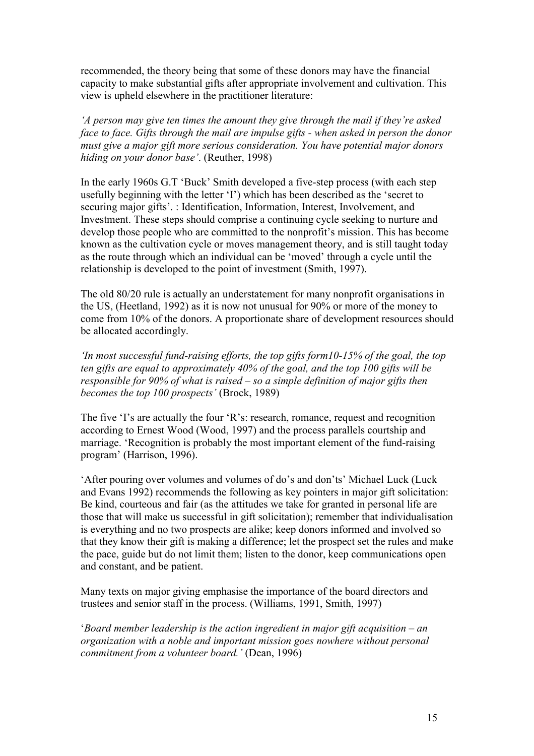recommended, the theory being that some of these donors may have the financial capacity to make substantial gifts after appropriate involvement and cultivation. This view is upheld elsewhere in the practitioner literature:

*'A person may give ten times the amount they give through the mail if they're asked face to face. Gifts through the mail are impulse gifts - when asked in person the donor must give a major gift more serious consideration. You have potential major donors hiding on your donor base'*. (Reuther, 1998)

In the early 1960s G.T 'Buck' Smith developed a five-step process (with each step usefully beginning with the letter 'I') which has been described as the 'secret to securing major gifts'. : Identification, Information, Interest, Involvement, and Investment. These steps should comprise a continuing cycle seeking to nurture and develop those people who are committed to the nonprofit's mission. This has become known as the cultivation cycle or moves management theory, and is still taught today as the route through which an individual can be 'moved' through a cycle until the relationship is developed to the point of investment (Smith, 1997).

The old 80/20 rule is actually an understatement for many nonprofit organisations in the US, (Heetland, 1992) as it is now not unusual for 90% or more of the money to come from 10% of the donors. A proportionate share of development resources should be allocated accordingly.

*'In most successful fund-raising efforts, the top gifts form10-15% of the goal, the top ten gifts are equal to approximately 40% of the goal, and the top 100 gifts will be responsible for 90% of what is raised – so a simple definition of major gifts then becomes the top 100 prospects'* (Brock, 1989)

The five 'I's are actually the four 'R's: research, romance, request and recognition according to Ernest Wood (Wood, 1997) and the process parallels courtship and marriage. 'Recognition is probably the most important element of the fund-raising program' (Harrison, 1996).

'After pouring over volumes and volumes of do's and don'ts' Michael Luck (Luck and Evans 1992) recommends the following as key pointers in major gift solicitation: Be kind, courteous and fair (as the attitudes we take for granted in personal life are those that will make us successful in gift solicitation); remember that individualisation is everything and no two prospects are alike; keep donors informed and involved so that they know their gift is making a difference; let the prospect set the rules and make the pace, guide but do not limit them; listen to the donor, keep communications open and constant, and be patient.

Many texts on major giving emphasise the importance of the board directors and trustees and senior staff in the process. (Williams, 1991, Smith, 1997)

'*Board member leadership is the action ingredient in major gift acquisition – an organization with a noble and important mission goes nowhere without personal commitment from a volunteer board.'* (Dean, 1996)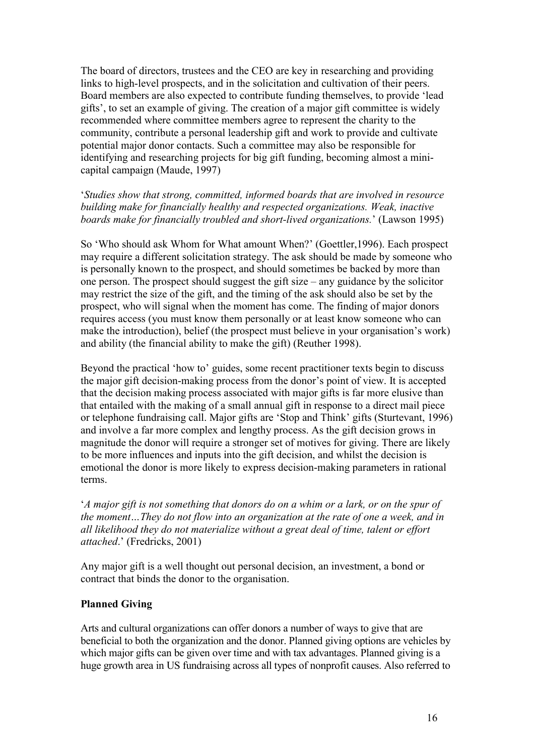The board of directors, trustees and the CEO are key in researching and providing links to high-level prospects, and in the solicitation and cultivation of their peers. Board members are also expected to contribute funding themselves, to provide 'lead gifts', to set an example of giving. The creation of a major gift committee is widely recommended where committee members agree to represent the charity to the community, contribute a personal leadership gift and work to provide and cultivate potential major donor contacts. Such a committee may also be responsible for identifying and researching projects for big gift funding, becoming almost a minicapital campaign (Maude, 1997)

'*Studies show that strong, committed, informed boards that are involved in resource building make for financially healthy and respected organizations. Weak, inactive boards make for financially troubled and short-lived organizations.*' (Lawson 1995)

So 'Who should ask Whom for What amount When?' (Goettler,1996). Each prospect may require a different solicitation strategy. The ask should be made by someone who is personally known to the prospect, and should sometimes be backed by more than one person. The prospect should suggest the gift size – any guidance by the solicitor may restrict the size of the gift, and the timing of the ask should also be set by the prospect, who will signal when the moment has come. The finding of major donors requires access (you must know them personally or at least know someone who can make the introduction), belief (the prospect must believe in your organisation's work) and ability (the financial ability to make the gift) (Reuther 1998).

Beyond the practical 'how to' guides, some recent practitioner texts begin to discuss the major gift decision-making process from the donor's point of view. It is accepted that the decision making process associated with major gifts is far more elusive than that entailed with the making of a small annual gift in response to a direct mail piece or telephone fundraising call. Major gifts are 'Stop and Think' gifts (Sturtevant, 1996) and involve a far more complex and lengthy process. As the gift decision grows in magnitude the donor will require a stronger set of motives for giving. There are likely to be more influences and inputs into the gift decision, and whilst the decision is emotional the donor is more likely to express decision-making parameters in rational terms.

'*A major gift is not something that donors do on a whim or a lark, or on the spur of the moment…They do not flow into an organization at the rate of one a week, and in all likelihood they do not materialize without a great deal of time, talent or effort attached*.' (Fredricks, 2001)

Any major gift is a well thought out personal decision, an investment, a bond or contract that binds the donor to the organisation.

## **Planned Giving**

Arts and cultural organizations can offer donors a number of ways to give that are beneficial to both the organization and the donor. Planned giving options are vehicles by which major gifts can be given over time and with tax advantages. Planned giving is a huge growth area in US fundraising across all types of nonprofit causes. Also referred to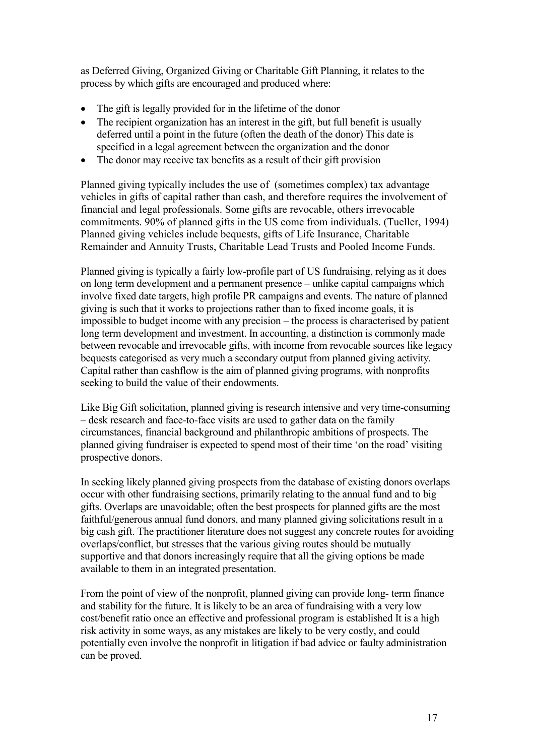as Deferred Giving, Organized Giving or Charitable Gift Planning, it relates to the process by which gifts are encouraged and produced where:

- The gift is legally provided for in the lifetime of the donor
- The recipient organization has an interest in the gift, but full benefit is usually deferred until a point in the future (often the death of the donor) This date is specified in a legal agreement between the organization and the donor
- The donor may receive tax benefits as a result of their gift provision

Planned giving typically includes the use of (sometimes complex) tax advantage vehicles in gifts of capital rather than cash, and therefore requires the involvement of financial and legal professionals. Some gifts are revocable, others irrevocable commitments. 90% of planned gifts in the US come from individuals. (Tueller, 1994) Planned giving vehicles include bequests, gifts of Life Insurance, Charitable Remainder and Annuity Trusts, Charitable Lead Trusts and Pooled Income Funds.

Planned giving is typically a fairly low-profile part of US fundraising, relying as it does on long term development and a permanent presence – unlike capital campaigns which involve fixed date targets, high profile PR campaigns and events. The nature of planned giving is such that it works to projections rather than to fixed income goals, it is impossible to budget income with any precision – the process is characterised by patient long term development and investment. In accounting, a distinction is commonly made between revocable and irrevocable gifts, with income from revocable sources like legacy bequests categorised as very much a secondary output from planned giving activity. Capital rather than cashflow is the aim of planned giving programs, with nonprofits seeking to build the value of their endowments.

Like Big Gift solicitation, planned giving is research intensive and very time-consuming – desk research and face-to-face visits are used to gather data on the family circumstances, financial background and philanthropic ambitions of prospects. The planned giving fundraiser is expected to spend most of their time 'on the road' visiting prospective donors.

In seeking likely planned giving prospects from the database of existing donors overlaps occur with other fundraising sections, primarily relating to the annual fund and to big gifts. Overlaps are unavoidable; often the best prospects for planned gifts are the most faithful/generous annual fund donors, and many planned giving solicitations result in a big cash gift. The practitioner literature does not suggest any concrete routes for avoiding overlaps/conflict, but stresses that the various giving routes should be mutually supportive and that donors increasingly require that all the giving options be made available to them in an integrated presentation.

From the point of view of the nonprofit, planned giving can provide long- term finance and stability for the future. It is likely to be an area of fundraising with a very low cost/benefit ratio once an effective and professional program is established It is a high risk activity in some ways, as any mistakes are likely to be very costly, and could potentially even involve the nonprofit in litigation if bad advice or faulty administration can be proved.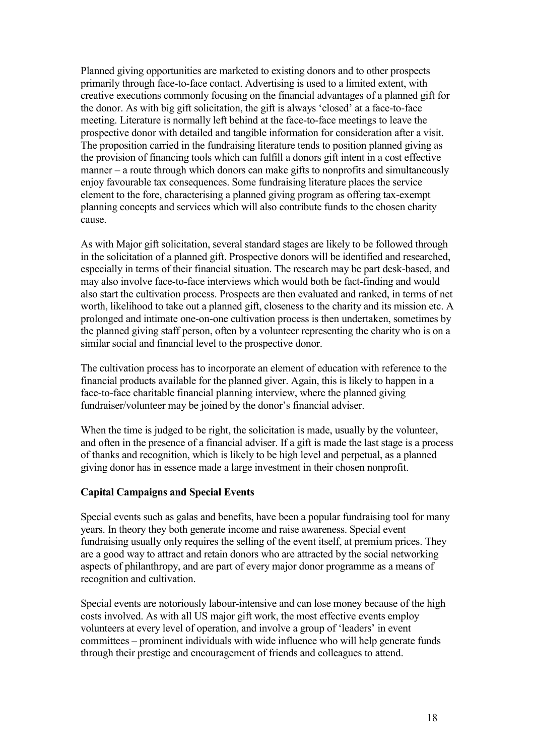Planned giving opportunities are marketed to existing donors and to other prospects primarily through face-to-face contact. Advertising is used to a limited extent, with creative executions commonly focusing on the financial advantages of a planned gift for the donor. As with big gift solicitation, the gift is always 'closed' at a face-to-face meeting. Literature is normally left behind at the face-to-face meetings to leave the prospective donor with detailed and tangible information for consideration after a visit. The proposition carried in the fundraising literature tends to position planned giving as the provision of financing tools which can fulfill a donors gift intent in a cost effective manner – a route through which donors can make gifts to nonprofits and simultaneously enjoy favourable tax consequences. Some fundraising literature places the service element to the fore, characterising a planned giving program as offering tax-exempt planning concepts and services which will also contribute funds to the chosen charity cause.

As with Major gift solicitation, several standard stages are likely to be followed through in the solicitation of a planned gift. Prospective donors will be identified and researched, especially in terms of their financial situation. The research may be part desk-based, and may also involve face-to-face interviews which would both be fact-finding and would also start the cultivation process. Prospects are then evaluated and ranked, in terms of net worth, likelihood to take out a planned gift, closeness to the charity and its mission etc. A prolonged and intimate one-on-one cultivation process is then undertaken, sometimes by the planned giving staff person, often by a volunteer representing the charity who is on a similar social and financial level to the prospective donor.

The cultivation process has to incorporate an element of education with reference to the financial products available for the planned giver. Again, this is likely to happen in a face-to-face charitable financial planning interview, where the planned giving fundraiser/volunteer may be joined by the donor's financial adviser.

When the time is judged to be right, the solicitation is made, usually by the volunteer, and often in the presence of a financial adviser. If a gift is made the last stage is a process of thanks and recognition, which is likely to be high level and perpetual, as a planned giving donor has in essence made a large investment in their chosen nonprofit.

#### **Capital Campaigns and Special Events**

Special events such as galas and benefits, have been a popular fundraising tool for many years. In theory they both generate income and raise awareness. Special event fundraising usually only requires the selling of the event itself, at premium prices. They are a good way to attract and retain donors who are attracted by the social networking aspects of philanthropy, and are part of every major donor programme as a means of recognition and cultivation.

Special events are notoriously labour-intensive and can lose money because of the high costs involved. As with all US major gift work, the most effective events employ volunteers at every level of operation, and involve a group of 'leaders' in event committees – prominent individuals with wide influence who will help generate funds through their prestige and encouragement of friends and colleagues to attend.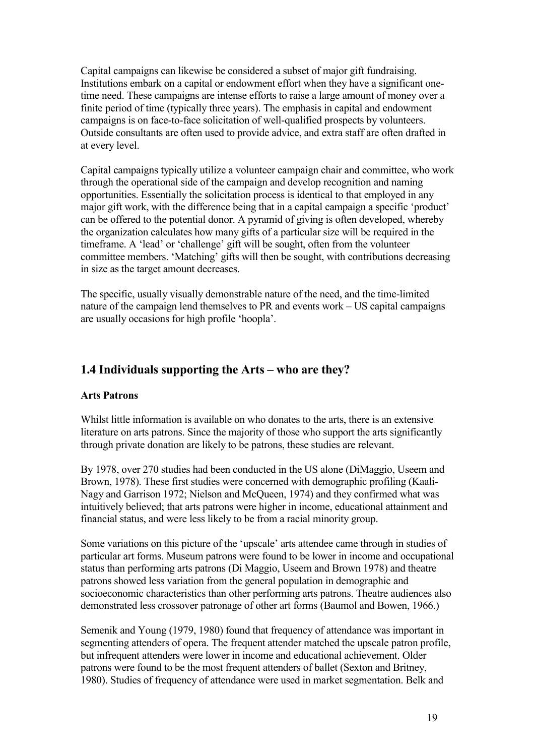Capital campaigns can likewise be considered a subset of major gift fundraising. Institutions embark on a capital or endowment effort when they have a significant onetime need. These campaigns are intense efforts to raise a large amount of money over a finite period of time (typically three years). The emphasis in capital and endowment campaigns is on face-to-face solicitation of well-qualified prospects by volunteers. Outside consultants are often used to provide advice, and extra staff are often drafted in at every level.

Capital campaigns typically utilize a volunteer campaign chair and committee, who work through the operational side of the campaign and develop recognition and naming opportunities. Essentially the solicitation process is identical to that employed in any major gift work, with the difference being that in a capital campaign a specific 'product' can be offered to the potential donor. A pyramid of giving is often developed, whereby the organization calculates how many gifts of a particular size will be required in the timeframe. A 'lead' or 'challenge' gift will be sought, often from the volunteer committee members. 'Matching' gifts will then be sought, with contributions decreasing in size as the target amount decreases.

The specific, usually visually demonstrable nature of the need, and the time-limited nature of the campaign lend themselves to PR and events work – US capital campaigns are usually occasions for high profile 'hoopla'.

## **1.4 Individuals supporting the Arts – who are they?**

## **Arts Patrons**

Whilst little information is available on who donates to the arts, there is an extensive literature on arts patrons. Since the majority of those who support the arts significantly through private donation are likely to be patrons, these studies are relevant.

By 1978, over 270 studies had been conducted in the US alone (DiMaggio, Useem and Brown, 1978). These first studies were concerned with demographic profiling (Kaali-Nagy and Garrison 1972; Nielson and McQueen, 1974) and they confirmed what was intuitively believed; that arts patrons were higher in income, educational attainment and financial status, and were less likely to be from a racial minority group.

Some variations on this picture of the 'upscale' arts attendee came through in studies of particular art forms. Museum patrons were found to be lower in income and occupational status than performing arts patrons (Di Maggio, Useem and Brown 1978) and theatre patrons showed less variation from the general population in demographic and socioeconomic characteristics than other performing arts patrons. Theatre audiences also demonstrated less crossover patronage of other art forms (Baumol and Bowen, 1966.)

Semenik and Young (1979, 1980) found that frequency of attendance was important in segmenting attenders of opera. The frequent attender matched the upscale patron profile, but infrequent attenders were lower in income and educational achievement. Older patrons were found to be the most frequent attenders of ballet (Sexton and Britney, 1980). Studies of frequency of attendance were used in market segmentation. Belk and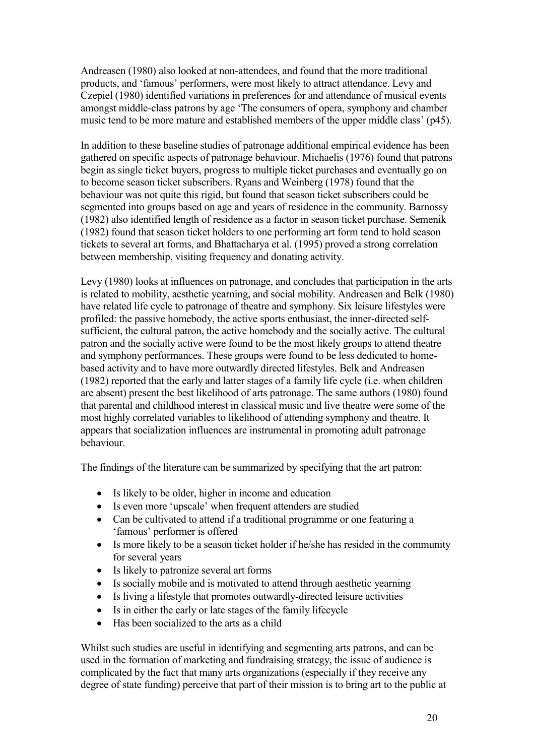Andreasen (1980) also looked at non-attendees, and found that the more traditional products, and 'famous' performers, were most likely to attract attendance. Levy and Czepiel (1980) identified variations in preferences for and attendance of musical events amongst middle-class patrons by age 'The consumers of opera, symphony and chamber music tend to be more mature and established members of the upper middle class' (p45).

In addition to these baseline studies of patronage additional empirical evidence has been gathered on specific aspects of patronage behaviour. Michaelis (1976) found that patrons begin as single ticket buyers, progress to multiple ticket purchases and eventually go on to become season ticket subscribers. Ryans and Weinberg (1978) found that the behaviour was not quite this rigid, but found that season ticket subscribers could be segmented into groups based on age and years of residence in the community. Barnossy (1982) also identified length of residence as a factor in season ticket purchase. Semenik (1982) found that season ticket holders to one performing art form tend to hold season tickets to several art forms, and Bhattacharya et al. (1995) proved a strong correlation between membership, visiting frequency and donating activity.

Levy (1980) looks at influences on patronage, and concludes that participation in the arts is related to mobility, aesthetic yearning, and social mobility. Andreasen and Belk (1980) have related life cycle to patronage of theatre and symphony. Six leisure lifestyles were profiled: the passive homebody, the active sports enthusiast, the inner-directed selfsufficient, the cultural patron, the active homebody and the socially active. The cultural patron and the socially active were found to be the most likely groups to attend theatre and symphony performances. These groups were found to be less dedicated to homebased activity and to have more outwardly directed lifestyles. Belk and Andreasen (1982) reported that the early and latter stages of a family life cycle (i.e. when children are absent) present the best likelihood of arts patronage. The same authors (1980) found that parental and childhood interest in classical music and live theatre were some of the most highly correlated variables to likelihood of attending symphony and theatre. It appears that socialization influences are instrumental in promoting adult patronage behaviour.

The findings of the literature can be summarized by specifying that the art patron:

- Is likely to be older, higher in income and education
- Is even more 'upscale' when frequent attenders are studied
- Can be cultivated to attend if a traditional programme or one featuring a 'famous' performer is offered
- Is more likely to be a season ticket holder if he/she has resided in the community for several years
- Is likely to patronize several art forms
- Is socially mobile and is motivated to attend through aesthetic yearning
- Is living a lifestyle that promotes outwardly-directed leisure activities
- Is in either the early or late stages of the family lifecycle
- Has been socialized to the arts as a child

Whilst such studies are useful in identifying and segmenting arts patrons, and can be used in the formation of marketing and fundraising strategy, the issue of audience is complicated by the fact that many arts organizations (especially if they receive any degree of state funding) perceive that part of their mission is to bring art to the public at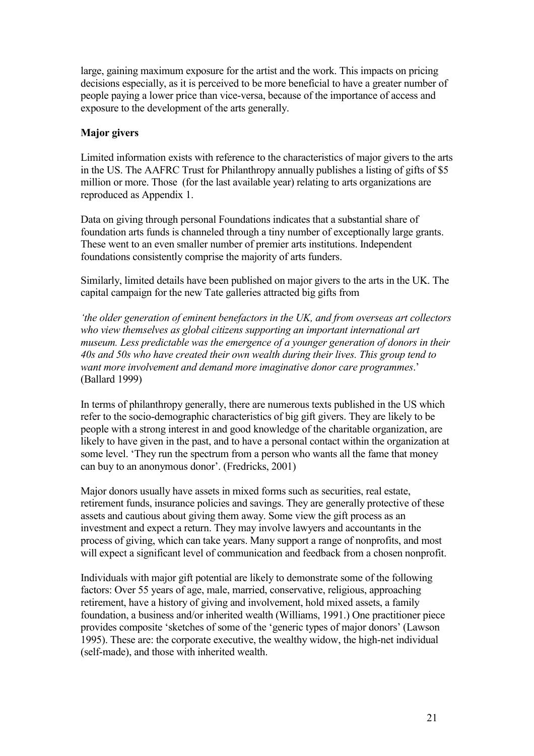large, gaining maximum exposure for the artist and the work. This impacts on pricing decisions especially, as it is perceived to be more beneficial to have a greater number of people paying a lower price than vice-versa, because of the importance of access and exposure to the development of the arts generally.

## **Major givers**

Limited information exists with reference to the characteristics of major givers to the arts in the US. The AAFRC Trust for Philanthropy annually publishes a listing of gifts of \$5 million or more. Those (for the last available year) relating to arts organizations are reproduced as Appendix 1.

Data on giving through personal Foundations indicates that a substantial share of foundation arts funds is channeled through a tiny number of exceptionally large grants. These went to an even smaller number of premier arts institutions. Independent foundations consistently comprise the majority of arts funders.

Similarly, limited details have been published on major givers to the arts in the UK. The capital campaign for the new Tate galleries attracted big gifts from

*'the older generation of eminent benefactors in the UK, and from overseas art collectors who view themselves as global citizens supporting an important international art museum. Less predictable was the emergence of a younger generation of donors in their 40s and 50s who have created their own wealth during their lives. This group tend to want more involvement and demand more imaginative donor care programmes*.' (Ballard 1999)

In terms of philanthropy generally, there are numerous texts published in the US which refer to the socio-demographic characteristics of big gift givers. They are likely to be people with a strong interest in and good knowledge of the charitable organization, are likely to have given in the past, and to have a personal contact within the organization at some level. 'They run the spectrum from a person who wants all the fame that money can buy to an anonymous donor'. (Fredricks, 2001)

Major donors usually have assets in mixed forms such as securities, real estate, retirement funds, insurance policies and savings. They are generally protective of these assets and cautious about giving them away. Some view the gift process as an investment and expect a return. They may involve lawyers and accountants in the process of giving, which can take years. Many support a range of nonprofits, and most will expect a significant level of communication and feedback from a chosen nonprofit.

Individuals with major gift potential are likely to demonstrate some of the following factors: Over 55 years of age, male, married, conservative, religious, approaching retirement, have a history of giving and involvement, hold mixed assets, a family foundation, a business and/or inherited wealth (Williams, 1991.) One practitioner piece provides composite 'sketches of some of the 'generic types of major donors' (Lawson 1995). These are: the corporate executive, the wealthy widow, the high-net individual (self-made), and those with inherited wealth.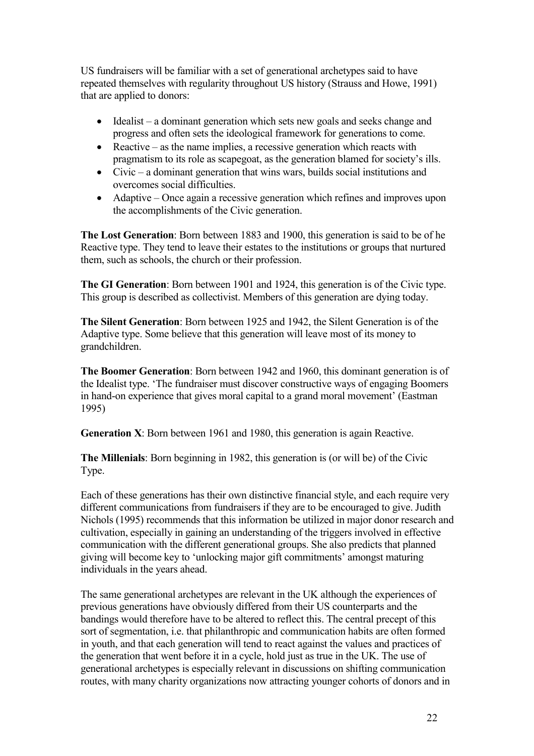US fundraisers will be familiar with a set of generational archetypes said to have repeated themselves with regularity throughout US history (Strauss and Howe, 1991) that are applied to donors:

- Idealist a dominant generation which sets new goals and seeks change and progress and often sets the ideological framework for generations to come.
- Reactive as the name implies, a recessive generation which reacts with pragmatism to its role as scapegoat, as the generation blamed for society's ills.
- Civic a dominant generation that wins wars, builds social institutions and overcomes social difficulties.
- Adaptive Once again a recessive generation which refines and improves upon the accomplishments of the Civic generation.

**The Lost Generation**: Born between 1883 and 1900, this generation is said to be of he Reactive type. They tend to leave their estates to the institutions or groups that nurtured them, such as schools, the church or their profession.

**The GI Generation**: Born between 1901 and 1924, this generation is of the Civic type. This group is described as collectivist. Members of this generation are dying today.

**The Silent Generation**: Born between 1925 and 1942, the Silent Generation is of the Adaptive type. Some believe that this generation will leave most of its money to grandchildren.

**The Boomer Generation**: Born between 1942 and 1960, this dominant generation is of the Idealist type. 'The fundraiser must discover constructive ways of engaging Boomers in hand-on experience that gives moral capital to a grand moral movement' (Eastman 1995)

**Generation X**: Born between 1961 and 1980, this generation is again Reactive.

**The Millenials**: Born beginning in 1982, this generation is (or will be) of the Civic Type.

Each of these generations has their own distinctive financial style, and each require very different communications from fundraisers if they are to be encouraged to give. Judith Nichols (1995) recommends that this information be utilized in major donor research and cultivation, especially in gaining an understanding of the triggers involved in effective communication with the different generational groups. She also predicts that planned giving will become key to 'unlocking major gift commitments' amongst maturing individuals in the years ahead.

The same generational archetypes are relevant in the UK although the experiences of previous generations have obviously differed from their US counterparts and the bandings would therefore have to be altered to reflect this. The central precept of this sort of segmentation, i.e. that philanthropic and communication habits are often formed in youth, and that each generation will tend to react against the values and practices of the generation that went before it in a cycle, hold just as true in the UK. The use of generational archetypes is especially relevant in discussions on shifting communication routes, with many charity organizations now attracting younger cohorts of donors and in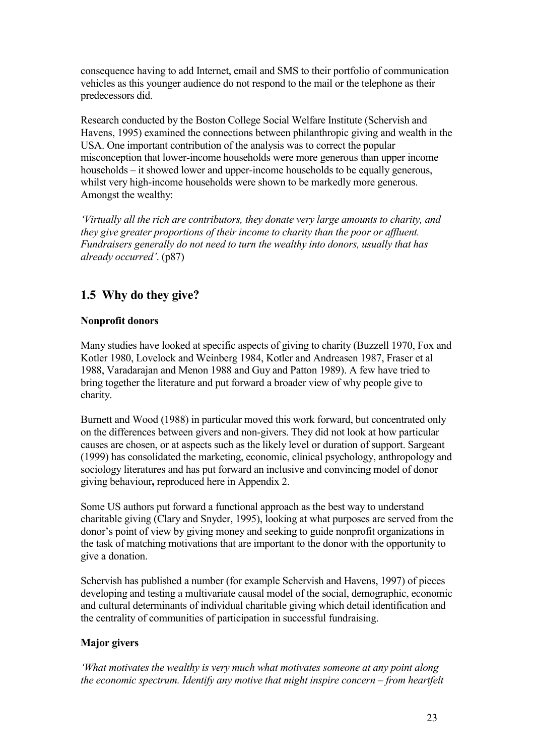consequence having to add Internet, email and SMS to their portfolio of communication vehicles as this younger audience do not respond to the mail or the telephone as their predecessors did.

Research conducted by the Boston College Social Welfare Institute (Schervish and Havens, 1995) examined the connections between philanthropic giving and wealth in the USA. One important contribution of the analysis was to correct the popular misconception that lower-income households were more generous than upper income households – it showed lower and upper-income households to be equally generous, whilst very high-income households were shown to be markedly more generous. Amongst the wealthy:

*'Virtually all the rich are contributors, they donate very large amounts to charity, and they give greater proportions of their income to charity than the poor or affluent. Fundraisers generally do not need to turn the wealthy into donors, usually that has already occurred'*. (p87)

# **1.5 Why do they give?**

## **Nonprofit donors**

Many studies have looked at specific aspects of giving to charity (Buzzell 1970, Fox and Kotler 1980, Lovelock and Weinberg 1984, Kotler and Andreasen 1987, Fraser et al 1988, Varadarajan and Menon 1988 and Guy and Patton 1989). A few have tried to bring together the literature and put forward a broader view of why people give to charity.

Burnett and Wood (1988) in particular moved this work forward, but concentrated only on the differences between givers and non-givers. They did not look at how particular causes are chosen, or at aspects such as the likely level or duration of support. Sargeant (1999) has consolidated the marketing, economic, clinical psychology, anthropology and sociology literatures and has put forward an inclusive and convincing model of donor giving behaviour**,** reproduced here in Appendix 2.

Some US authors put forward a functional approach as the best way to understand charitable giving (Clary and Snyder, 1995), looking at what purposes are served from the donor's point of view by giving money and seeking to guide nonprofit organizations in the task of matching motivations that are important to the donor with the opportunity to give a donation.

Schervish has published a number (for example Schervish and Havens, 1997) of pieces developing and testing a multivariate causal model of the social, demographic, economic and cultural determinants of individual charitable giving which detail identification and the centrality of communities of participation in successful fundraising.

## **Major givers**

*'What motivates the wealthy is very much what motivates someone at any point along the economic spectrum. Identify any motive that might inspire concern – from heartfelt*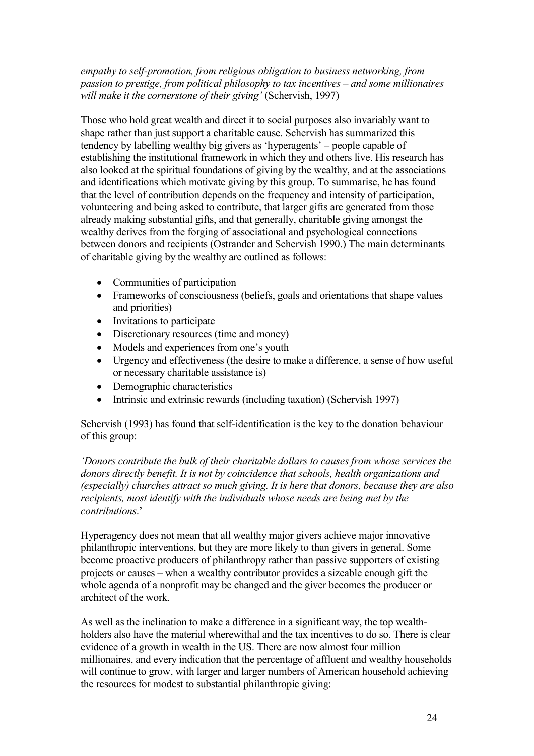## *empathy to self-promotion, from religious obligation to business networking, from passion to prestige, from political philosophy to tax incentives – and some millionaires will make it the cornerstone of their giving'* (Schervish, 1997)

Those who hold great wealth and direct it to social purposes also invariably want to shape rather than just support a charitable cause. Schervish has summarized this tendency by labelling wealthy big givers as 'hyperagents' – people capable of establishing the institutional framework in which they and others live. His research has also looked at the spiritual foundations of giving by the wealthy, and at the associations and identifications which motivate giving by this group. To summarise, he has found that the level of contribution depends on the frequency and intensity of participation, volunteering and being asked to contribute, that larger gifts are generated from those already making substantial gifts, and that generally, charitable giving amongst the wealthy derives from the forging of associational and psychological connections between donors and recipients (Ostrander and Schervish 1990.) The main determinants of charitable giving by the wealthy are outlined as follows:

- Communities of participation
- Frameworks of consciousness (beliefs, goals and orientations that shape values and priorities)
- Invitations to participate
- Discretionary resources (time and money)
- Models and experiences from one's youth
- Urgency and effectiveness (the desire to make a difference, a sense of how useful or necessary charitable assistance is)
- Demographic characteristics
- Intrinsic and extrinsic rewards (including taxation) (Schervish 1997)

Schervish (1993) has found that self-identification is the key to the donation behaviour of this group:

*'Donors contribute the bulk of their charitable dollars to causes from whose services the donors directly benefit. It is not by coincidence that schools, health organizations and (especially) churches attract so much giving. It is here that donors, because they are also recipients, most identify with the individuals whose needs are being met by the contributions*.'

Hyperagency does not mean that all wealthy major givers achieve major innovative philanthropic interventions, but they are more likely to than givers in general. Some become proactive producers of philanthropy rather than passive supporters of existing projects or causes – when a wealthy contributor provides a sizeable enough gift the whole agenda of a nonprofit may be changed and the giver becomes the producer or architect of the work.

As well as the inclination to make a difference in a significant way, the top wealthholders also have the material wherewithal and the tax incentives to do so. There is clear evidence of a growth in wealth in the US. There are now almost four million millionaires, and every indication that the percentage of affluent and wealthy households will continue to grow, with larger and larger numbers of American household achieving the resources for modest to substantial philanthropic giving: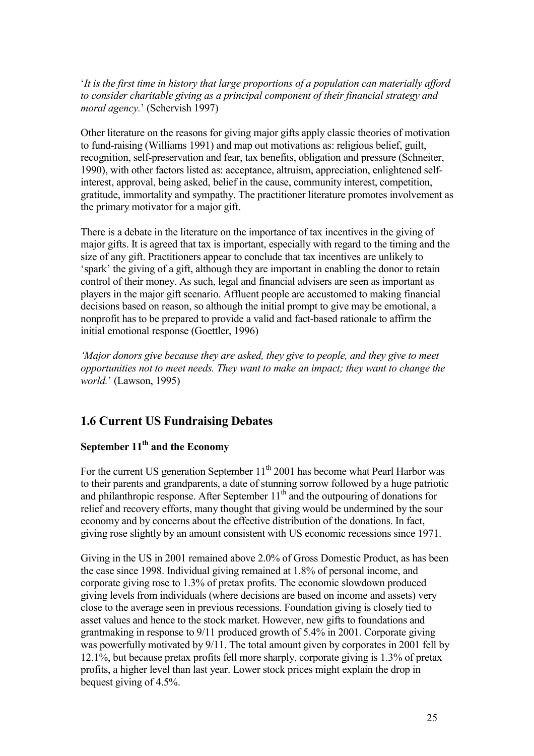## '*It is the first time in history that large proportions of a population can materially afford to consider charitable giving as a principal component of their financial strategy and moral agency.*' (Schervish 1997)

Other literature on the reasons for giving major gifts apply classic theories of motivation to fund-raising (Williams 1991) and map out motivations as: religious belief, guilt, recognition, self-preservation and fear, tax benefits, obligation and pressure (Schneiter, 1990), with other factors listed as: acceptance, altruism, appreciation, enlightened selfinterest, approval, being asked, belief in the cause, community interest, competition, gratitude, immortality and sympathy. The practitioner literature promotes involvement as the primary motivator for a major gift.

There is a debate in the literature on the importance of tax incentives in the giving of major gifts. It is agreed that tax is important, especially with regard to the timing and the size of any gift. Practitioners appear to conclude that tax incentives are unlikely to 'spark' the giving of a gift, although they are important in enabling the donor to retain control of their money. As such, legal and financial advisers are seen as important as players in the major gift scenario. Affluent people are accustomed to making financial decisions based on reason, so although the initial prompt to give may be emotional, a nonprofit has to be prepared to provide a valid and fact-based rationale to affirm the initial emotional response (Goettler, 1996)

*'Major donors give because they are asked, they give to people, and they give to meet opportunities not to meet needs. They want to make an impact; they want to change the world.*' (Lawson, 1995)

# **1.6 Current US Fundraising Debates**

## **September 11<sup>th</sup> and the Economy**

For the current US generation September  $11<sup>th</sup> 2001$  has become what Pearl Harbor was to their parents and grandparents, a date of stunning sorrow followed by a huge patriotic and philanthropic response. After September  $11<sup>th</sup>$  and the outpouring of donations for relief and recovery efforts, many thought that giving would be undermined by the sour economy and by concerns about the effective distribution of the donations. In fact, giving rose slightly by an amount consistent with US economic recessions since 1971.

Giving in the US in 2001 remained above 2.0% of Gross Domestic Product, as has been the case since 1998. Individual giving remained at 1.8% of personal income, and corporate giving rose to 1.3% of pretax profits. The economic slowdown produced giving levels from individuals (where decisions are based on income and assets) very close to the average seen in previous recessions. Foundation giving is closely tied to asset values and hence to the stock market. However, new gifts to foundations and grantmaking in response to 9/11 produced growth of 5.4% in 2001. Corporate giving was powerfully motivated by 9/11. The total amount given by corporates in 2001 fell by 12.1%, but because pretax profits fell more sharply, corporate giving is 1.3% of pretax profits, a higher level than last year. Lower stock prices might explain the drop in bequest giving of 4.5%.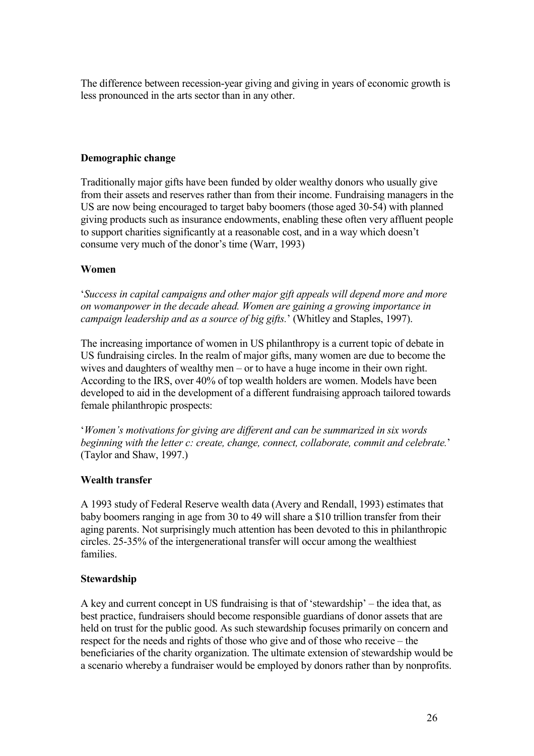The difference between recession-year giving and giving in years of economic growth is less pronounced in the arts sector than in any other.

### **Demographic change**

Traditionally major gifts have been funded by older wealthy donors who usually give from their assets and reserves rather than from their income. Fundraising managers in the US are now being encouraged to target baby boomers (those aged 30-54) with planned giving products such as insurance endowments, enabling these often very affluent people to support charities significantly at a reasonable cost, and in a way which doesn't consume very much of the donor's time (Warr, 1993)

## **Women**

'*Success in capital campaigns and other major gift appeals will depend more and more on womanpower in the decade ahead. Women are gaining a growing importance in campaign leadership and as a source of big gifts.*' (Whitley and Staples, 1997).

The increasing importance of women in US philanthropy is a current topic of debate in US fundraising circles. In the realm of major gifts, many women are due to become the wives and daughters of wealthy men – or to have a huge income in their own right. According to the IRS, over 40% of top wealth holders are women. Models have been developed to aid in the development of a different fundraising approach tailored towards female philanthropic prospects:

'*Women's motivations for giving are different and can be summarized in six words beginning with the letter c: create, change, connect, collaborate, commit and celebrate.*' (Taylor and Shaw, 1997.)

#### **Wealth transfer**

A 1993 study of Federal Reserve wealth data (Avery and Rendall, 1993) estimates that baby boomers ranging in age from 30 to 49 will share a \$10 trillion transfer from their aging parents. Not surprisingly much attention has been devoted to this in philanthropic circles. 25-35% of the intergenerational transfer will occur among the wealthiest families.

#### **Stewardship**

A key and current concept in US fundraising is that of 'stewardship' – the idea that, as best practice, fundraisers should become responsible guardians of donor assets that are held on trust for the public good. As such stewardship focuses primarily on concern and respect for the needs and rights of those who give and of those who receive – the beneficiaries of the charity organization. The ultimate extension of stewardship would be a scenario whereby a fundraiser would be employed by donors rather than by nonprofits.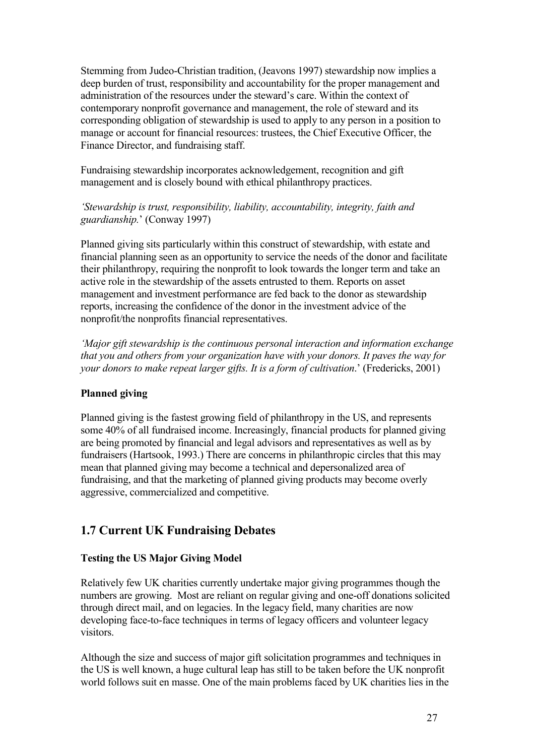Stemming from Judeo-Christian tradition, (Jeavons 1997) stewardship now implies a deep burden of trust, responsibility and accountability for the proper management and administration of the resources under the steward's care. Within the context of contemporary nonprofit governance and management, the role of steward and its corresponding obligation of stewardship is used to apply to any person in a position to manage or account for financial resources: trustees, the Chief Executive Officer, the Finance Director, and fundraising staff.

Fundraising stewardship incorporates acknowledgement, recognition and gift management and is closely bound with ethical philanthropy practices.

*'Stewardship is trust, responsibility, liability, accountability, integrity, faith and guardianship.*' (Conway 1997)

Planned giving sits particularly within this construct of stewardship, with estate and financial planning seen as an opportunity to service the needs of the donor and facilitate their philanthropy, requiring the nonprofit to look towards the longer term and take an active role in the stewardship of the assets entrusted to them. Reports on asset management and investment performance are fed back to the donor as stewardship reports, increasing the confidence of the donor in the investment advice of the nonprofit/the nonprofits financial representatives.

*'Major gift stewardship is the continuous personal interaction and information exchange that you and others from your organization have with your donors. It paves the way for your donors to make repeat larger gifts. It is a form of cultivation*.' (Fredericks, 2001)

## **Planned giving**

Planned giving is the fastest growing field of philanthropy in the US, and represents some 40% of all fundraised income. Increasingly, financial products for planned giving are being promoted by financial and legal advisors and representatives as well as by fundraisers (Hartsook, 1993.) There are concerns in philanthropic circles that this may mean that planned giving may become a technical and depersonalized area of fundraising, and that the marketing of planned giving products may become overly aggressive, commercialized and competitive.

## **1.7 Current UK Fundraising Debates**

## **Testing the US Major Giving Model**

Relatively few UK charities currently undertake major giving programmes though the numbers are growing. Most are reliant on regular giving and one-off donations solicited through direct mail, and on legacies. In the legacy field, many charities are now developing face-to-face techniques in terms of legacy officers and volunteer legacy visitors.

Although the size and success of major gift solicitation programmes and techniques in the US is well known, a huge cultural leap has still to be taken before the UK nonprofit world follows suit en masse. One of the main problems faced by UK charities lies in the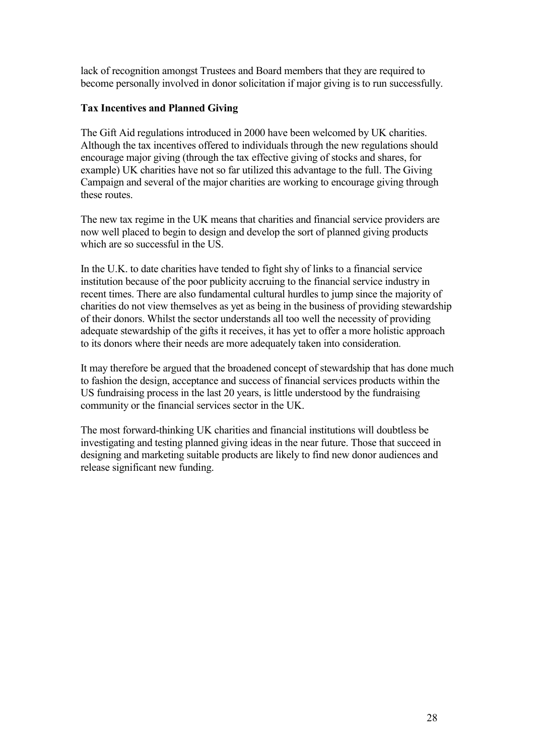lack of recognition amongst Trustees and Board members that they are required to become personally involved in donor solicitation if major giving is to run successfully.

## **Tax Incentives and Planned Giving**

The Gift Aid regulations introduced in 2000 have been welcomed by UK charities. Although the tax incentives offered to individuals through the new regulations should encourage major giving (through the tax effective giving of stocks and shares, for example) UK charities have not so far utilized this advantage to the full. The Giving Campaign and several of the major charities are working to encourage giving through these routes.

The new tax regime in the UK means that charities and financial service providers are now well placed to begin to design and develop the sort of planned giving products which are so successful in the US.

In the U.K. to date charities have tended to fight shy of links to a financial service institution because of the poor publicity accruing to the financial service industry in recent times. There are also fundamental cultural hurdles to jump since the majority of charities do not view themselves as yet as being in the business of providing stewardship of their donors. Whilst the sector understands all too well the necessity of providing adequate stewardship of the gifts it receives, it has yet to offer a more holistic approach to its donors where their needs are more adequately taken into consideration.

It may therefore be argued that the broadened concept of stewardship that has done much to fashion the design, acceptance and success of financial services products within the US fundraising process in the last 20 years, is little understood by the fundraising community or the financial services sector in the UK.

The most forward-thinking UK charities and financial institutions will doubtless be investigating and testing planned giving ideas in the near future. Those that succeed in designing and marketing suitable products are likely to find new donor audiences and release significant new funding.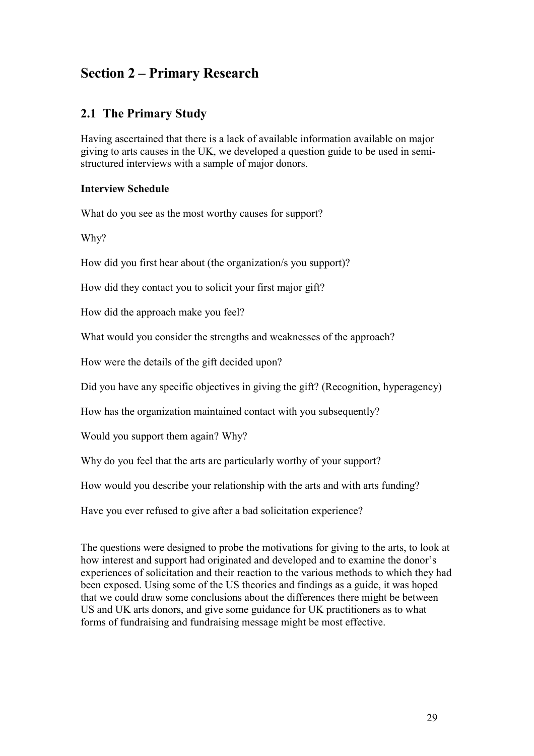# **Section 2 – Primary Research**

## **2.1 The Primary Study**

Having ascertained that there is a lack of available information available on major giving to arts causes in the UK, we developed a question guide to be used in semistructured interviews with a sample of major donors.

## **Interview Schedule**

What do you see as the most worthy causes for support?

Why?

How did you first hear about (the organization/s you support)?

How did they contact you to solicit your first major gift?

How did the approach make you feel?

What would you consider the strengths and weaknesses of the approach?

How were the details of the gift decided upon?

Did you have any specific objectives in giving the gift? (Recognition, hyperagency)

How has the organization maintained contact with you subsequently?

Would you support them again? Why?

Why do you feel that the arts are particularly worthy of your support?

How would you describe your relationship with the arts and with arts funding?

Have you ever refused to give after a bad solicitation experience?

The questions were designed to probe the motivations for giving to the arts, to look at how interest and support had originated and developed and to examine the donor's experiences of solicitation and their reaction to the various methods to which they had been exposed. Using some of the US theories and findings as a guide, it was hoped that we could draw some conclusions about the differences there might be between US and UK arts donors, and give some guidance for UK practitioners as to what forms of fundraising and fundraising message might be most effective.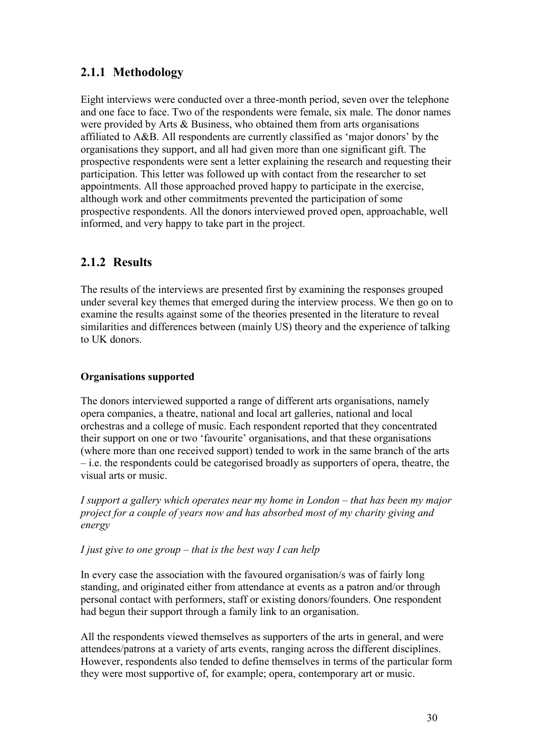# **2.1.1 Methodology**

Eight interviews were conducted over a three-month period, seven over the telephone and one face to face. Two of the respondents were female, six male. The donor names were provided by Arts & Business, who obtained them from arts organisations affiliated to A&B. All respondents are currently classified as 'major donors' by the organisations they support, and all had given more than one significant gift. The prospective respondents were sent a letter explaining the research and requesting their participation. This letter was followed up with contact from the researcher to set appointments. All those approached proved happy to participate in the exercise, although work and other commitments prevented the participation of some prospective respondents. All the donors interviewed proved open, approachable, well informed, and very happy to take part in the project.

## **2.1.2 Results**

The results of the interviews are presented first by examining the responses grouped under several key themes that emerged during the interview process. We then go on to examine the results against some of the theories presented in the literature to reveal similarities and differences between (mainly US) theory and the experience of talking to UK donors.

## **Organisations supported**

The donors interviewed supported a range of different arts organisations, namely opera companies, a theatre, national and local art galleries, national and local orchestras and a college of music. Each respondent reported that they concentrated their support on one or two 'favourite' organisations, and that these organisations (where more than one received support) tended to work in the same branch of the arts – i.e. the respondents could be categorised broadly as supporters of opera, theatre, the visual arts or music.

*I support a gallery which operates near my home in London – that has been my major project for a couple of years now and has absorbed most of my charity giving and energy*

## *I just give to one group – that is the best way I can help*

In every case the association with the favoured organisation/s was of fairly long standing, and originated either from attendance at events as a patron and/or through personal contact with performers, staff or existing donors/founders. One respondent had begun their support through a family link to an organisation.

All the respondents viewed themselves as supporters of the arts in general, and were attendees/patrons at a variety of arts events, ranging across the different disciplines. However, respondents also tended to define themselves in terms of the particular form they were most supportive of, for example; opera, contemporary art or music.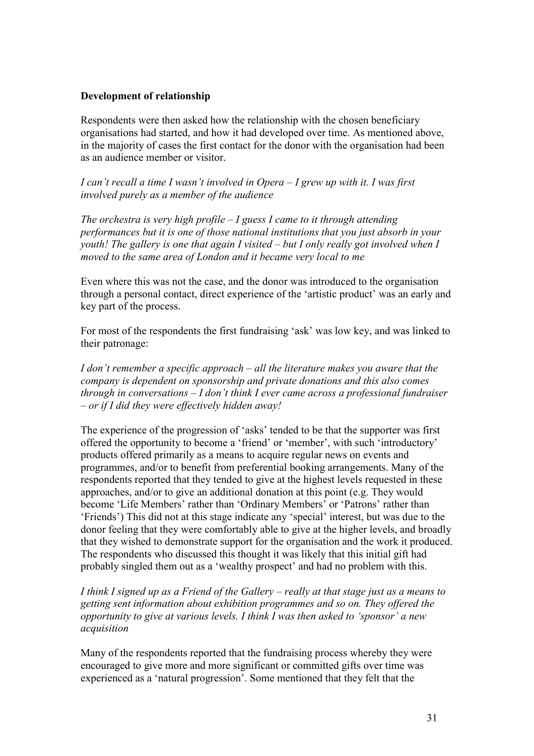### **Development of relationship**

Respondents were then asked how the relationship with the chosen beneficiary organisations had started, and how it had developed over time. As mentioned above, in the majority of cases the first contact for the donor with the organisation had been as an audience member or visitor.

*I can't recall a time I wasn't involved in Opera – I grew up with it. I was first involved purely as a member of the audience*

*The orchestra is very high profile – I guess I came to it through attending performances but it is one of those national institutions that you just absorb in your youth! The gallery is one that again I visited – but I only really got involved when I moved to the same area of London and it became very local to me*

Even where this was not the case, and the donor was introduced to the organisation through a personal contact, direct experience of the 'artistic product' was an early and key part of the process.

For most of the respondents the first fundraising 'ask' was low key, and was linked to their patronage:

*I don't remember a specific approach – all the literature makes you aware that the company is dependent on sponsorship and private donations and this also comes through in conversations – I don't think I ever came across a professional fundraiser – or if I did they were effectively hidden away!*

The experience of the progression of 'asks' tended to be that the supporter was first offered the opportunity to become a 'friend' or 'member', with such 'introductory' products offered primarily as a means to acquire regular news on events and programmes, and/or to benefit from preferential booking arrangements. Many of the respondents reported that they tended to give at the highest levels requested in these approaches, and/or to give an additional donation at this point (e.g. They would become 'Life Members' rather than 'Ordinary Members' or 'Patrons' rather than 'Friends') This did not at this stage indicate any 'special' interest, but was due to the donor feeling that they were comfortably able to give at the higher levels, and broadly that they wished to demonstrate support for the organisation and the work it produced. The respondents who discussed this thought it was likely that this initial gift had probably singled them out as a 'wealthy prospect' and had no problem with this.

*I think I signed up as a Friend of the Gallery – really at that stage just as a means to getting sent information about exhibition programmes and so on. They offered the opportunity to give at various levels. I think I was then asked to 'sponsor' a new acquisition*

Many of the respondents reported that the fundraising process whereby they were encouraged to give more and more significant or committed gifts over time was experienced as a 'natural progression'. Some mentioned that they felt that the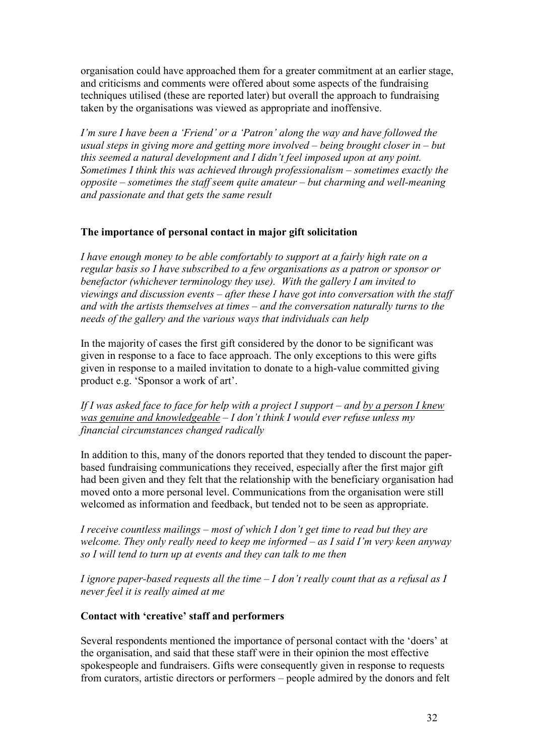organisation could have approached them for a greater commitment at an earlier stage, and criticisms and comments were offered about some aspects of the fundraising techniques utilised (these are reported later) but overall the approach to fundraising taken by the organisations was viewed as appropriate and inoffensive.

*I'm sure I have been a 'Friend' or a 'Patron' along the way and have followed the usual steps in giving more and getting more involved – being brought closer in – but this seemed a natural development and I didn't feel imposed upon at any point. Sometimes I think this was achieved through professionalism – sometimes exactly the opposite – sometimes the staff seem quite amateur – but charming and well-meaning and passionate and that gets the same result*

## **The importance of personal contact in major gift solicitation**

*I have enough money to be able comfortably to support at a fairly high rate on a regular basis so I have subscribed to a few organisations as a patron or sponsor or benefactor (whichever terminology they use). With the gallery I am invited to viewings and discussion events – after these I have got into conversation with the staff and with the artists themselves at times – and the conversation naturally turns to the needs of the gallery and the various ways that individuals can help*

In the majority of cases the first gift considered by the donor to be significant was given in response to a face to face approach. The only exceptions to this were gifts given in response to a mailed invitation to donate to a high-value committed giving product e.g. 'Sponsor a work of art'.

*If I was asked face to face for help with a project I support – and by a person I knew was genuine and knowledgeable – I don't think I would ever refuse unless my financial circumstances changed radically*

In addition to this, many of the donors reported that they tended to discount the paperbased fundraising communications they received, especially after the first major gift had been given and they felt that the relationship with the beneficiary organisation had moved onto a more personal level. Communications from the organisation were still welcomed as information and feedback, but tended not to be seen as appropriate.

*I receive countless mailings – most of which I don't get time to read but they are welcome. They only really need to keep me informed – as I said I'm very keen anyway so I will tend to turn up at events and they can talk to me then*

*I ignore paper-based requests all the time – I don't really count that as a refusal as I never feel it is really aimed at me*

## **Contact with 'creative' staff and performers**

Several respondents mentioned the importance of personal contact with the 'doers' at the organisation, and said that these staff were in their opinion the most effective spokespeople and fundraisers. Gifts were consequently given in response to requests from curators, artistic directors or performers – people admired by the donors and felt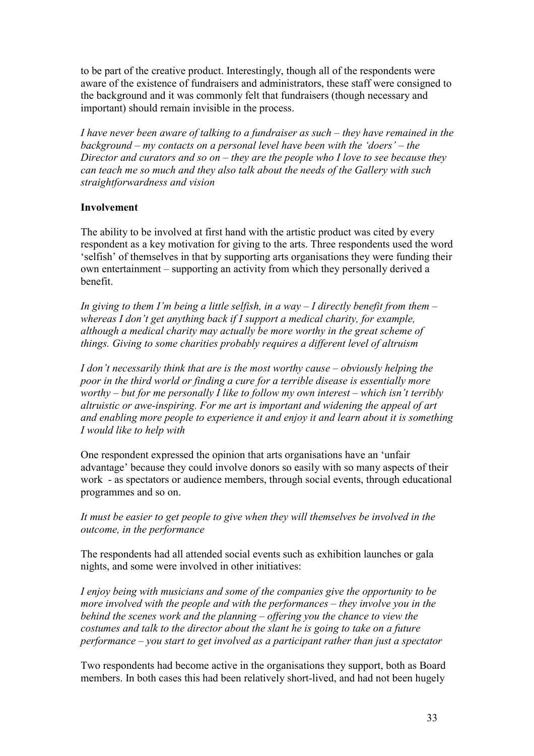to be part of the creative product. Interestingly, though all of the respondents were aware of the existence of fundraisers and administrators, these staff were consigned to the background and it was commonly felt that fundraisers (though necessary and important) should remain invisible in the process.

*I have never been aware of talking to a fundraiser as such – they have remained in the background – my contacts on a personal level have been with the 'doers' – the Director and curators and so on – they are the people who I love to see because they can teach me so much and they also talk about the needs of the Gallery with such straightforwardness and vision*

## **Involvement**

The ability to be involved at first hand with the artistic product was cited by every respondent as a key motivation for giving to the arts. Three respondents used the word 'selfish' of themselves in that by supporting arts organisations they were funding their own entertainment – supporting an activity from which they personally derived a benefit.

*In giving to them I'm being a little selfish, in a way – I directly benefit from them – whereas I don't get anything back if I support a medical charity, for example, although a medical charity may actually be more worthy in the great scheme of things. Giving to some charities probably requires a different level of altruism*

*I don't necessarily think that are is the most worthy cause – obviously helping the poor in the third world or finding a cure for a terrible disease is essentially more worthy – but for me personally I like to follow my own interest – which isn't terribly altruistic or awe-inspiring. For me art is important and widening the appeal of art and enabling more people to experience it and enjoy it and learn about it is something I would like to help with*

One respondent expressed the opinion that arts organisations have an 'unfair advantage' because they could involve donors so easily with so many aspects of their work - as spectators or audience members, through social events, through educational programmes and so on.

*It must be easier to get people to give when they will themselves be involved in the outcome, in the performance*

The respondents had all attended social events such as exhibition launches or gala nights, and some were involved in other initiatives:

*I enjoy being with musicians and some of the companies give the opportunity to be more involved with the people and with the performances – they involve you in the behind the scenes work and the planning – offering you the chance to view the costumes and talk to the director about the slant he is going to take on a future performance – you start to get involved as a participant rather than just a spectator*

Two respondents had become active in the organisations they support, both as Board members. In both cases this had been relatively short-lived, and had not been hugely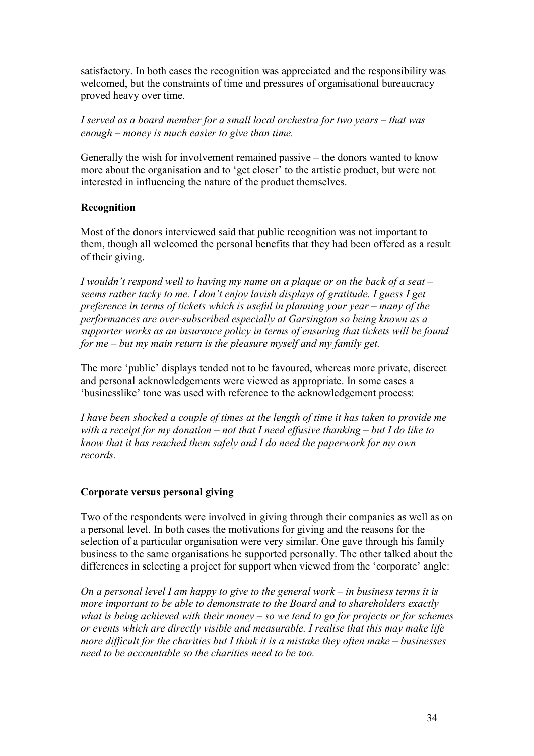satisfactory. In both cases the recognition was appreciated and the responsibility was welcomed, but the constraints of time and pressures of organisational bureaucracy proved heavy over time.

*I served as a board member for a small local orchestra for two years – that was enough – money is much easier to give than time.*

Generally the wish for involvement remained passive – the donors wanted to know more about the organisation and to 'get closer' to the artistic product, but were not interested in influencing the nature of the product themselves.

## **Recognition**

Most of the donors interviewed said that public recognition was not important to them, though all welcomed the personal benefits that they had been offered as a result of their giving.

*I wouldn't respond well to having my name on a plaque or on the back of a seat – seems rather tacky to me. I don't enjoy lavish displays of gratitude. I guess I get preference in terms of tickets which is useful in planning your year – many of the performances are over-subscribed especially at Garsington so being known as a supporter works as an insurance policy in terms of ensuring that tickets will be found for me – but my main return is the pleasure myself and my family get.*

The more 'public' displays tended not to be favoured, whereas more private, discreet and personal acknowledgements were viewed as appropriate. In some cases a 'businesslike' tone was used with reference to the acknowledgement process:

*I have been shocked a couple of times at the length of time it has taken to provide me with a receipt for my donation – not that I need effusive thanking – but I do like to know that it has reached them safely and I do need the paperwork for my own records.*

#### **Corporate versus personal giving**

Two of the respondents were involved in giving through their companies as well as on a personal level. In both cases the motivations for giving and the reasons for the selection of a particular organisation were very similar. One gave through his family business to the same organisations he supported personally. The other talked about the differences in selecting a project for support when viewed from the 'corporate' angle:

*On a personal level I am happy to give to the general work – in business terms it is more important to be able to demonstrate to the Board and to shareholders exactly what is being achieved with their money – so we tend to go for projects or for schemes or events which are directly visible and measurable. I realise that this may make life more difficult for the charities but I think it is a mistake they often make – businesses need to be accountable so the charities need to be too.*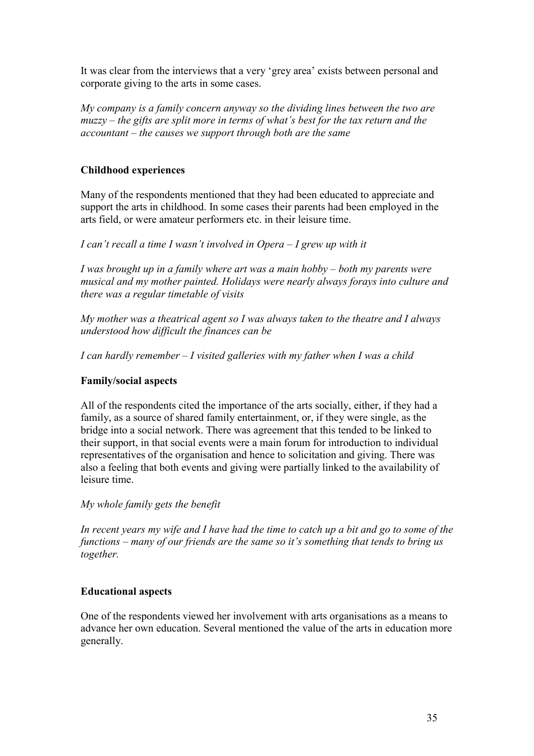It was clear from the interviews that a very 'grey area' exists between personal and corporate giving to the arts in some cases.

*My company is a family concern anyway so the dividing lines between the two are muzzy – the gifts are split more in terms of what's best for the tax return and the accountant – the causes we support through both are the same*

## **Childhood experiences**

Many of the respondents mentioned that they had been educated to appreciate and support the arts in childhood. In some cases their parents had been employed in the arts field, or were amateur performers etc. in their leisure time.

*I can't recall a time I wasn't involved in Opera – I grew up with it*

*I was brought up in a family where art was a main hobby – both my parents were musical and my mother painted. Holidays were nearly always forays into culture and there was a regular timetable of visits*

*My mother was a theatrical agent so I was always taken to the theatre and I always understood how difficult the finances can be*

*I can hardly remember – I visited galleries with my father when I was a child*

## **Family/social aspects**

All of the respondents cited the importance of the arts socially, either, if they had a family, as a source of shared family entertainment, or, if they were single, as the bridge into a social network. There was agreement that this tended to be linked to their support, in that social events were a main forum for introduction to individual representatives of the organisation and hence to solicitation and giving. There was also a feeling that both events and giving were partially linked to the availability of leisure time.

*My whole family gets the benefit*

*In recent years my wife and I have had the time to catch up a bit and go to some of the functions – many of our friends are the same so it's something that tends to bring us together.*

## **Educational aspects**

One of the respondents viewed her involvement with arts organisations as a means to advance her own education. Several mentioned the value of the arts in education more generally.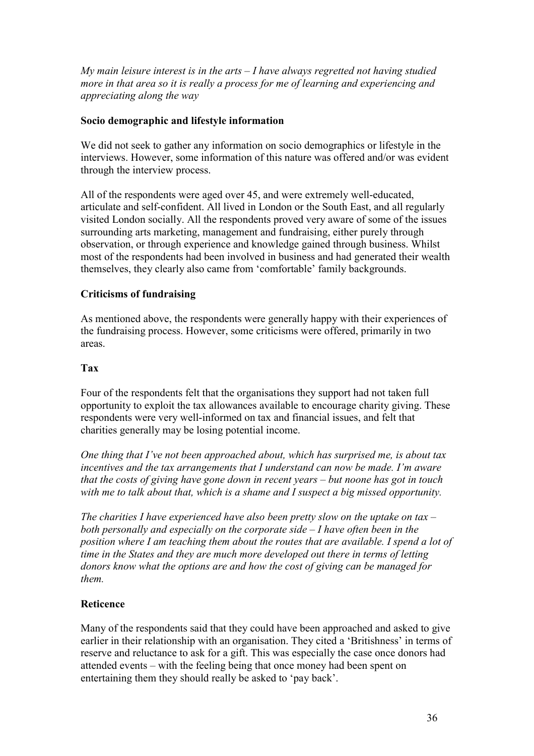*My main leisure interest is in the arts – I have always regretted not having studied more in that area so it is really a process for me of learning and experiencing and appreciating along the way*

## **Socio demographic and lifestyle information**

We did not seek to gather any information on socio demographics or lifestyle in the interviews. However, some information of this nature was offered and/or was evident through the interview process.

All of the respondents were aged over 45, and were extremely well-educated, articulate and self-confident. All lived in London or the South East, and all regularly visited London socially. All the respondents proved very aware of some of the issues surrounding arts marketing, management and fundraising, either purely through observation, or through experience and knowledge gained through business. Whilst most of the respondents had been involved in business and had generated their wealth themselves, they clearly also came from 'comfortable' family backgrounds.

## **Criticisms of fundraising**

As mentioned above, the respondents were generally happy with their experiences of the fundraising process. However, some criticisms were offered, primarily in two areas.

## **Tax**

Four of the respondents felt that the organisations they support had not taken full opportunity to exploit the tax allowances available to encourage charity giving. These respondents were very well-informed on tax and financial issues, and felt that charities generally may be losing potential income.

*One thing that I've not been approached about, which has surprised me, is about tax incentives and the tax arrangements that I understand can now be made. I'm aware that the costs of giving have gone down in recent years – but noone has got in touch with me to talk about that, which is a shame and I suspect a big missed opportunity.*

*The charities I have experienced have also been pretty slow on the uptake on tax – both personally and especially on the corporate side – I have often been in the position where I am teaching them about the routes that are available. I spend a lot of time in the States and they are much more developed out there in terms of letting donors know what the options are and how the cost of giving can be managed for them.*

#### **Reticence**

Many of the respondents said that they could have been approached and asked to give earlier in their relationship with an organisation. They cited a 'Britishness' in terms of reserve and reluctance to ask for a gift. This was especially the case once donors had attended events – with the feeling being that once money had been spent on entertaining them they should really be asked to 'pay back'.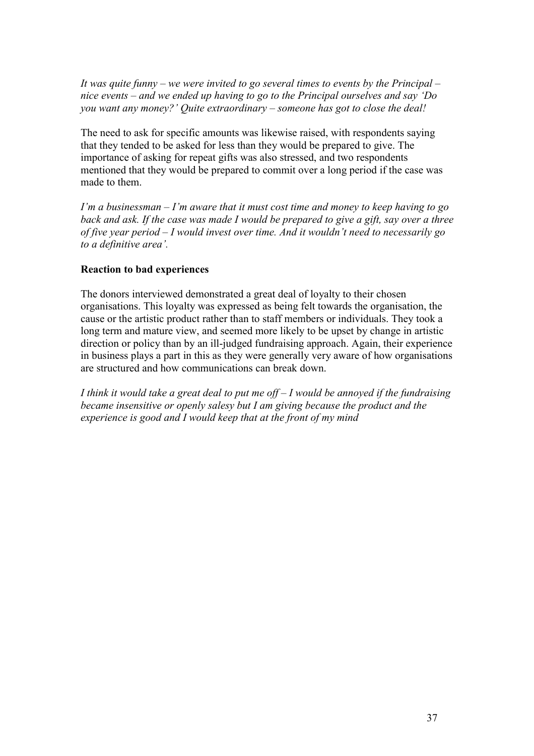*It was quite funny – we were invited to go several times to events by the Principal – nice events – and we ended up having to go to the Principal ourselves and say 'Do you want any money?' Quite extraordinary – someone has got to close the deal!*

The need to ask for specific amounts was likewise raised, with respondents saying that they tended to be asked for less than they would be prepared to give. The importance of asking for repeat gifts was also stressed, and two respondents mentioned that they would be prepared to commit over a long period if the case was made to them.

*I'm a businessman – I'm aware that it must cost time and money to keep having to go back and ask. If the case was made I would be prepared to give a gift, say over a three of five year period – I would invest over time. And it wouldn't need to necessarily go to a definitive area'.*

#### **Reaction to bad experiences**

The donors interviewed demonstrated a great deal of loyalty to their chosen organisations. This loyalty was expressed as being felt towards the organisation, the cause or the artistic product rather than to staff members or individuals. They took a long term and mature view, and seemed more likely to be upset by change in artistic direction or policy than by an ill-judged fundraising approach. Again, their experience in business plays a part in this as they were generally very aware of how organisations are structured and how communications can break down.

*I think it would take a great deal to put me off – I would be annoyed if the fundraising became insensitive or openly salesy but I am giving because the product and the experience is good and I would keep that at the front of my mind*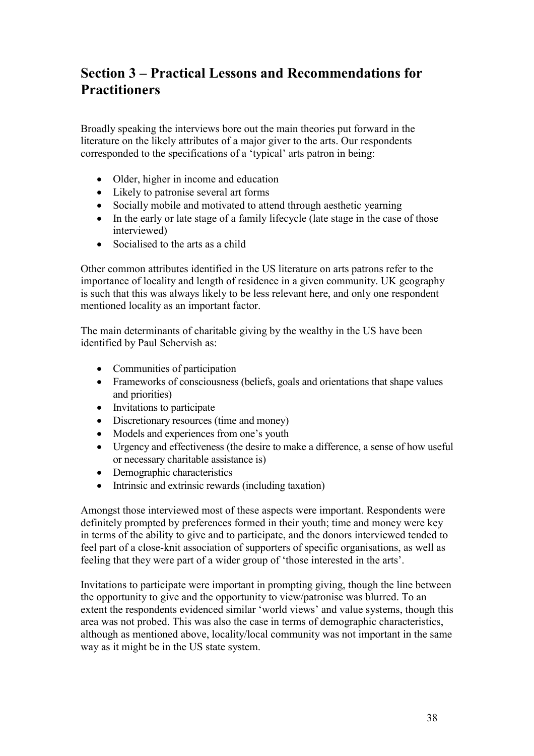# **Section 3 – Practical Lessons and Recommendations for Practitioners**

Broadly speaking the interviews bore out the main theories put forward in the literature on the likely attributes of a major giver to the arts. Our respondents corresponded to the specifications of a 'typical' arts patron in being:

- Older, higher in income and education
- Likely to patronise several art forms
- Socially mobile and motivated to attend through aesthetic yearning
- In the early or late stage of a family lifecycle (late stage in the case of those interviewed)
- Socialised to the arts as a child

Other common attributes identified in the US literature on arts patrons refer to the importance of locality and length of residence in a given community. UK geography is such that this was always likely to be less relevant here, and only one respondent mentioned locality as an important factor.

The main determinants of charitable giving by the wealthy in the US have been identified by Paul Schervish as:

- Communities of participation
- Frameworks of consciousness (beliefs, goals and orientations that shape values and priorities)
- Invitations to participate
- Discretionary resources (time and money)
- Models and experiences from one's youth
- Urgency and effectiveness (the desire to make a difference, a sense of how useful or necessary charitable assistance is)
- Demographic characteristics
- Intrinsic and extrinsic rewards (including taxation)

Amongst those interviewed most of these aspects were important. Respondents were definitely prompted by preferences formed in their youth; time and money were key in terms of the ability to give and to participate, and the donors interviewed tended to feel part of a close-knit association of supporters of specific organisations, as well as feeling that they were part of a wider group of 'those interested in the arts'.

Invitations to participate were important in prompting giving, though the line between the opportunity to give and the opportunity to view/patronise was blurred. To an extent the respondents evidenced similar 'world views' and value systems, though this area was not probed. This was also the case in terms of demographic characteristics, although as mentioned above, locality/local community was not important in the same way as it might be in the US state system.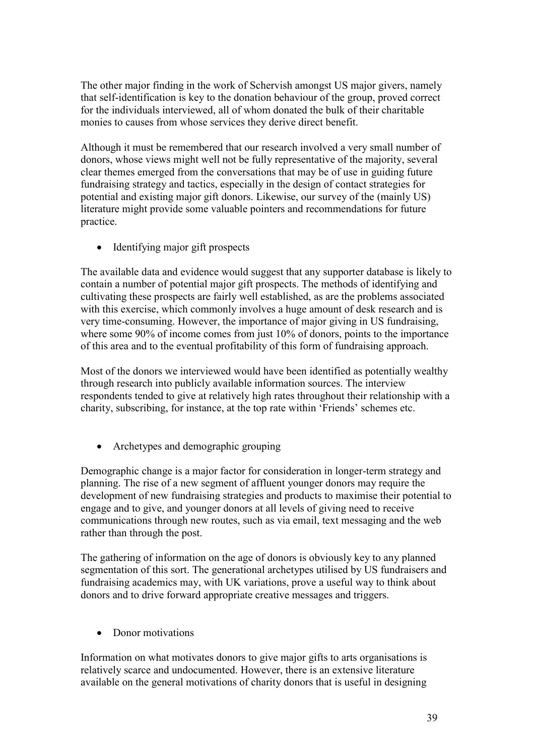The other major finding in the work of Schervish amongst US major givers, namely that self-identification is key to the donation behaviour of the group, proved correct for the individuals interviewed, all of whom donated the bulk of their charitable monies to causes from whose services they derive direct benefit.

Although it must be remembered that our research involved a very small number of donors, whose views might well not be fully representative of the majority, several clear themes emerged from the conversations that may be of use in guiding future fundraising strategy and tactics, especially in the design of contact strategies for potential and existing major gift donors. Likewise, our survey of the (mainly US) literature might provide some valuable pointers and recommendations for future practice.

• Identifying major gift prospects

The available data and evidence would suggest that any supporter database is likely to contain a number of potential major gift prospects. The methods of identifying and cultivating these prospects are fairly well established, as are the problems associated with this exercise, which commonly involves a huge amount of desk research and is very time-consuming. However, the importance of major giving in US fundraising, where some 90% of income comes from just 10% of donors, points to the importance of this area and to the eventual profitability of this form of fundraising approach.

Most of the donors we interviewed would have been identified as potentially wealthy through research into publicly available information sources. The interview respondents tended to give at relatively high rates throughout their relationship with a charity, subscribing, for instance, at the top rate within 'Friends' schemes etc.

• Archetypes and demographic grouping

Demographic change is a major factor for consideration in longer-term strategy and planning. The rise of a new segment of affluent younger donors may require the development of new fundraising strategies and products to maximise their potential to engage and to give, and younger donors at all levels of giving need to receive communications through new routes, such as via email, text messaging and the web rather than through the post.

The gathering of information on the age of donors is obviously key to any planned segmentation of this sort. The generational archetypes utilised by US fundraisers and fundraising academics may, with UK variations, prove a useful way to think about donors and to drive forward appropriate creative messages and triggers.

• Donor motivations

Information on what motivates donors to give major gifts to arts organisations is relatively scarce and undocumented. However, there is an extensive literature available on the general motivations of charity donors that is useful in designing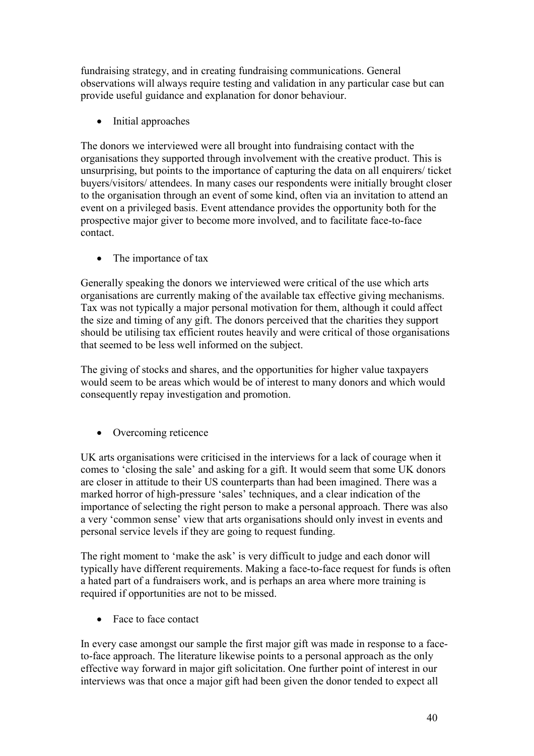fundraising strategy, and in creating fundraising communications. General observations will always require testing and validation in any particular case but can provide useful guidance and explanation for donor behaviour.

• Initial approaches

The donors we interviewed were all brought into fundraising contact with the organisations they supported through involvement with the creative product. This is unsurprising, but points to the importance of capturing the data on all enquirers/ ticket buyers/visitors/ attendees. In many cases our respondents were initially brought closer to the organisation through an event of some kind, often via an invitation to attend an event on a privileged basis. Event attendance provides the opportunity both for the prospective major giver to become more involved, and to facilitate face-to-face contact.

• The importance of tax

Generally speaking the donors we interviewed were critical of the use which arts organisations are currently making of the available tax effective giving mechanisms. Tax was not typically a major personal motivation for them, although it could affect the size and timing of any gift. The donors perceived that the charities they support should be utilising tax efficient routes heavily and were critical of those organisations that seemed to be less well informed on the subject.

The giving of stocks and shares, and the opportunities for higher value taxpayers would seem to be areas which would be of interest to many donors and which would consequently repay investigation and promotion.

• Overcoming reticence

UK arts organisations were criticised in the interviews for a lack of courage when it comes to 'closing the sale' and asking for a gift. It would seem that some UK donors are closer in attitude to their US counterparts than had been imagined. There was a marked horror of high-pressure 'sales' techniques, and a clear indication of the importance of selecting the right person to make a personal approach. There was also a very 'common sense' view that arts organisations should only invest in events and personal service levels if they are going to request funding.

The right moment to 'make the ask' is very difficult to judge and each donor will typically have different requirements. Making a face-to-face request for funds is often a hated part of a fundraisers work, and is perhaps an area where more training is required if opportunities are not to be missed.

• Face to face contact

In every case amongst our sample the first major gift was made in response to a faceto-face approach. The literature likewise points to a personal approach as the only effective way forward in major gift solicitation. One further point of interest in our interviews was that once a major gift had been given the donor tended to expect all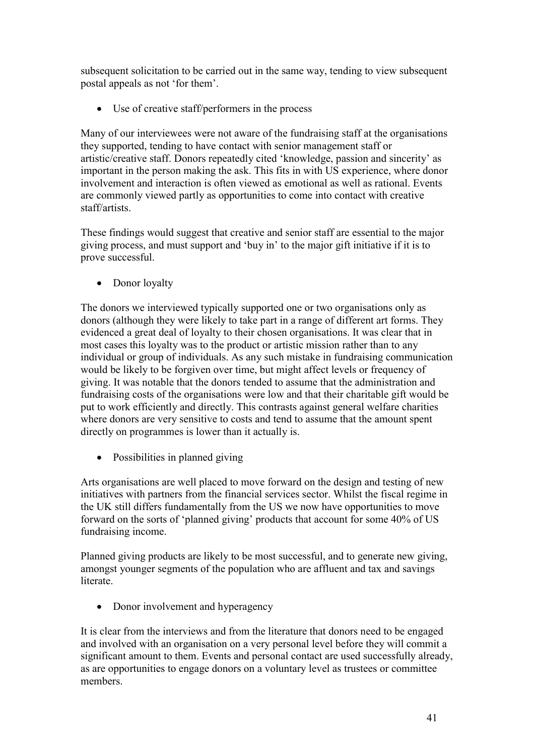subsequent solicitation to be carried out in the same way, tending to view subsequent postal appeals as not 'for them'.

Use of creative staff/performers in the process

Many of our interviewees were not aware of the fundraising staff at the organisations they supported, tending to have contact with senior management staff or artistic/creative staff. Donors repeatedly cited 'knowledge, passion and sincerity' as important in the person making the ask. This fits in with US experience, where donor involvement and interaction is often viewed as emotional as well as rational. Events are commonly viewed partly as opportunities to come into contact with creative staff/artists.

These findings would suggest that creative and senior staff are essential to the major giving process, and must support and 'buy in' to the major gift initiative if it is to prove successful.

• Donor loyalty

The donors we interviewed typically supported one or two organisations only as donors (although they were likely to take part in a range of different art forms. They evidenced a great deal of loyalty to their chosen organisations. It was clear that in most cases this loyalty was to the product or artistic mission rather than to any individual or group of individuals. As any such mistake in fundraising communication would be likely to be forgiven over time, but might affect levels or frequency of giving. It was notable that the donors tended to assume that the administration and fundraising costs of the organisations were low and that their charitable gift would be put to work efficiently and directly. This contrasts against general welfare charities where donors are very sensitive to costs and tend to assume that the amount spent directly on programmes is lower than it actually is.

• Possibilities in planned giving

Arts organisations are well placed to move forward on the design and testing of new initiatives with partners from the financial services sector. Whilst the fiscal regime in the UK still differs fundamentally from the US we now have opportunities to move forward on the sorts of 'planned giving' products that account for some 40% of US fundraising income.

Planned giving products are likely to be most successful, and to generate new giving, amongst younger segments of the population who are affluent and tax and savings literate.

• Donor involvement and hyperagency

It is clear from the interviews and from the literature that donors need to be engaged and involved with an organisation on a very personal level before they will commit a significant amount to them. Events and personal contact are used successfully already, as are opportunities to engage donors on a voluntary level as trustees or committee members.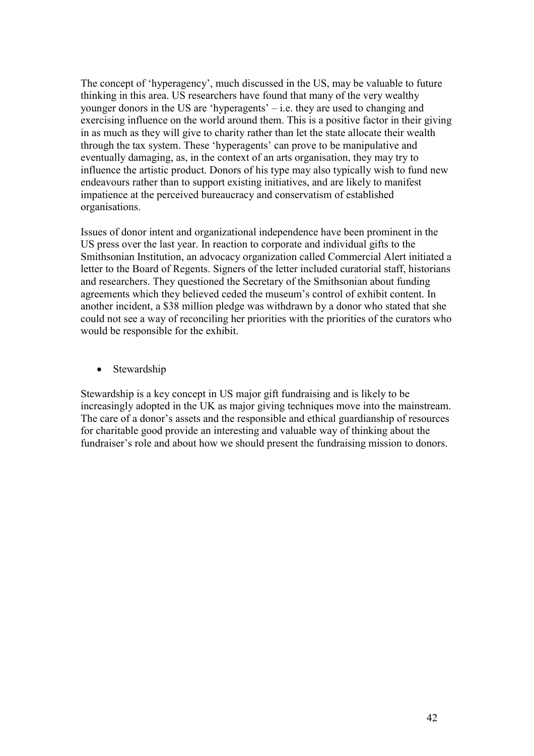The concept of 'hyperagency', much discussed in the US, may be valuable to future thinking in this area. US researchers have found that many of the very wealthy younger donors in the US are 'hyperagents' – i.e. they are used to changing and exercising influence on the world around them. This is a positive factor in their giving in as much as they will give to charity rather than let the state allocate their wealth through the tax system. These 'hyperagents' can prove to be manipulative and eventually damaging, as, in the context of an arts organisation, they may try to influence the artistic product. Donors of his type may also typically wish to fund new endeavours rather than to support existing initiatives, and are likely to manifest impatience at the perceived bureaucracy and conservatism of established organisations.

Issues of donor intent and organizational independence have been prominent in the US press over the last year. In reaction to corporate and individual gifts to the Smithsonian Institution, an advocacy organization called Commercial Alert initiated a letter to the Board of Regents. Signers of the letter included curatorial staff, historians and researchers. They questioned the Secretary of the Smithsonian about funding agreements which they believed ceded the museum's control of exhibit content. In another incident, a \$38 million pledge was withdrawn by a donor who stated that she could not see a way of reconciling her priorities with the priorities of the curators who would be responsible for the exhibit.

• Stewardship

Stewardship is a key concept in US major gift fundraising and is likely to be increasingly adopted in the UK as major giving techniques move into the mainstream. The care of a donor's assets and the responsible and ethical guardianship of resources for charitable good provide an interesting and valuable way of thinking about the fundraiser's role and about how we should present the fundraising mission to donors.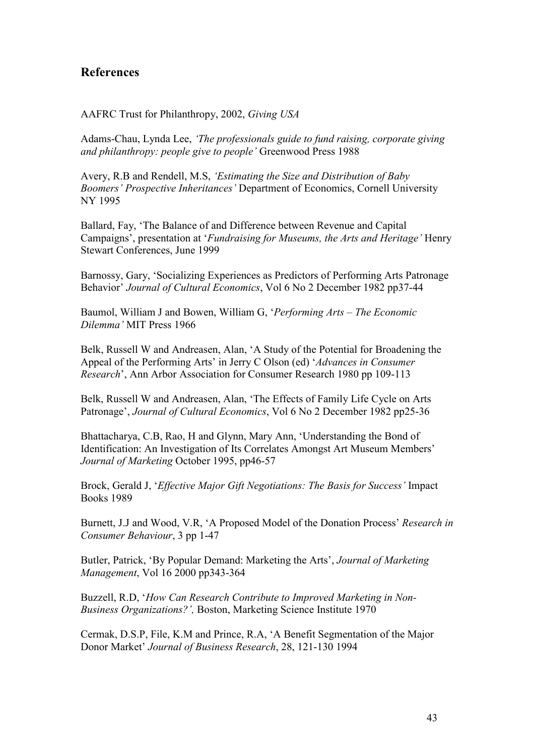## **References**

AAFRC Trust for Philanthropy, 2002, *Giving USA* 

Adams-Chau, Lynda Lee, *'The professionals guide to fund raising, corporate giving and philanthropy: people give to people'* Greenwood Press 1988

Avery, R.B and Rendell, M.S, *'Estimating the Size and Distribution of Baby Boomers' Prospective Inheritances'* Department of Economics, Cornell University NY 1995

Ballard, Fay, 'The Balance of and Difference between Revenue and Capital Campaigns', presentation at '*Fundraising for Museums, the Arts and Heritage'* Henry Stewart Conferences, June 1999

Barnossy, Gary, 'Socializing Experiences as Predictors of Performing Arts Patronage Behavior' *Journal of Cultural Economics*, Vol 6 No 2 December 1982 pp37-44

Baumol, William J and Bowen, William G, '*Performing Arts – The Economic Dilemma'* MIT Press 1966

Belk, Russell W and Andreasen, Alan, 'A Study of the Potential for Broadening the Appeal of the Performing Arts' in Jerry C Olson (ed) '*Advances in Consumer Research*', Ann Arbor Association for Consumer Research 1980 pp 109-113

Belk, Russell W and Andreasen, Alan, 'The Effects of Family Life Cycle on Arts Patronage', *Journal of Cultural Economics*, Vol 6 No 2 December 1982 pp25-36

Bhattacharya, C.B, Rao, H and Glynn, Mary Ann, 'Understanding the Bond of Identification: An Investigation of Its Correlates Amongst Art Museum Members' *Journal of Marketing* October 1995, pp46-57

Brock, Gerald J, '*Effective Major Gift Negotiations: The Basis for Success'* Impact Books 1989

Burnett, J.J and Wood, V.R, 'A Proposed Model of the Donation Process' *Research in Consumer Behaviour*, 3 pp 1-47

Butler, Patrick, 'By Popular Demand: Marketing the Arts', *Journal of Marketing Management*, Vol 16 2000 pp343-364

Buzzell, R.D, '*How Can Research Contribute to Improved Marketing in Non-Business Organizations?',* Boston, Marketing Science Institute 1970

Cermak, D.S.P, File, K.M and Prince, R.A, 'A Benefit Segmentation of the Major Donor Market' *Journal of Business Research*, 28, 121-130 1994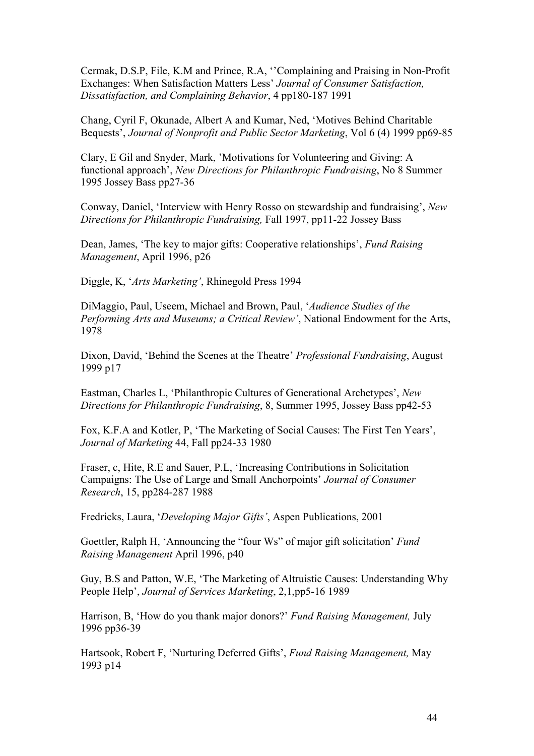Cermak, D.S.P, File, K.M and Prince, R.A, ''Complaining and Praising in Non-Profit Exchanges: When Satisfaction Matters Less' *Journal of Consumer Satisfaction, Dissatisfaction, and Complaining Behavior*, 4 pp180-187 1991

Chang, Cyril F, Okunade, Albert A and Kumar, Ned, 'Motives Behind Charitable Bequests', *Journal of Nonprofit and Public Sector Marketing*, Vol 6 (4) 1999 pp69-85

Clary, E Gil and Snyder, Mark, 'Motivations for Volunteering and Giving: A functional approach', *New Directions for Philanthropic Fundraising*, No 8 Summer 1995 Jossey Bass pp27-36

Conway, Daniel, 'Interview with Henry Rosso on stewardship and fundraising', *New Directions for Philanthropic Fundraising,* Fall 1997, pp11-22 Jossey Bass

Dean, James, 'The key to major gifts: Cooperative relationships', *Fund Raising Management*, April 1996, p26

Diggle, K, '*Arts Marketing'*, Rhinegold Press 1994

DiMaggio, Paul, Useem, Michael and Brown, Paul, '*Audience Studies of the Performing Arts and Museums; a Critical Review'*, National Endowment for the Arts, 1978

Dixon, David, 'Behind the Scenes at the Theatre' *Professional Fundraising*, August 1999 p17

Eastman, Charles L, 'Philanthropic Cultures of Generational Archetypes', *New Directions for Philanthropic Fundraising*, 8, Summer 1995, Jossey Bass pp42-53

Fox, K.F.A and Kotler, P, 'The Marketing of Social Causes: The First Ten Years', *Journal of Marketing* 44, Fall pp24-33 1980

Fraser, c, Hite, R.E and Sauer, P.L, 'Increasing Contributions in Solicitation Campaigns: The Use of Large and Small Anchorpoints' *Journal of Consumer Research*, 15, pp284-287 1988

Fredricks, Laura, '*Developing Major Gifts'*, Aspen Publications, 2001

Goettler, Ralph H, 'Announcing the "four Ws" of major gift solicitation' *Fund Raising Management* April 1996, p40

Guy, B.S and Patton, W.E, 'The Marketing of Altruistic Causes: Understanding Why People Help', *Journal of Services Marketing*, 2,1,pp5-16 1989

Harrison, B, 'How do you thank major donors?' *Fund Raising Management,* July 1996 pp36-39

Hartsook, Robert F, 'Nurturing Deferred Gifts', *Fund Raising Management,* May 1993 p14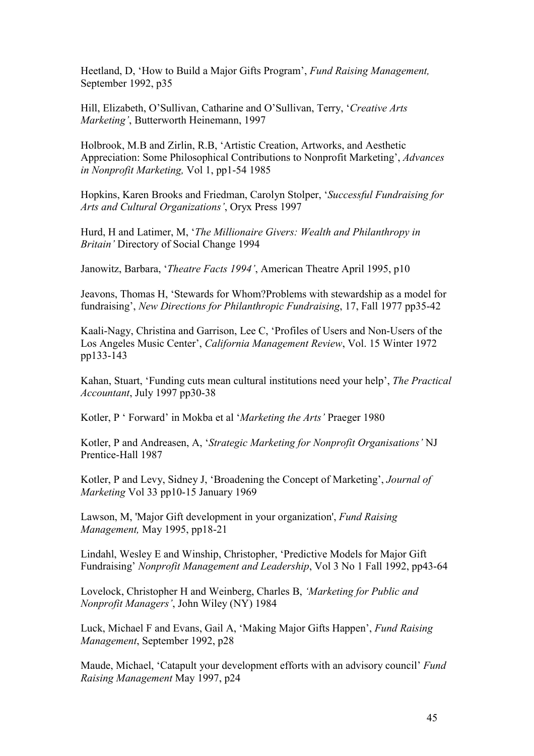Heetland, D, 'How to Build a Major Gifts Program', *Fund Raising Management,* September 1992, p35

Hill, Elizabeth, O'Sullivan, Catharine and O'Sullivan, Terry, '*Creative Arts Marketing'*, Butterworth Heinemann, 1997

Holbrook, M.B and Zirlin, R.B, 'Artistic Creation, Artworks, and Aesthetic Appreciation: Some Philosophical Contributions to Nonprofit Marketing', *Advances in Nonprofit Marketing,* Vol 1, pp1-54 1985

Hopkins, Karen Brooks and Friedman, Carolyn Stolper, '*Successful Fundraising for Arts and Cultural Organizations'*, Oryx Press 1997

Hurd, H and Latimer, M, '*The Millionaire Givers: Wealth and Philanthropy in Britain'* Directory of Social Change 1994

Janowitz, Barbara, '*Theatre Facts 1994'*, American Theatre April 1995, p10

Jeavons, Thomas H, 'Stewards for Whom?Problems with stewardship as a model for fundraising', *New Directions for Philanthropic Fundraising*, 17, Fall 1977 pp35-42

Kaali-Nagy, Christina and Garrison, Lee C, 'Profiles of Users and Non-Users of the Los Angeles Music Center', *California Management Review*, Vol. 15 Winter 1972 pp133-143

Kahan, Stuart, 'Funding cuts mean cultural institutions need your help', *The Practical Accountant*, July 1997 pp30-38

Kotler, P ' Forward' in Mokba et al '*Marketing the Arts'* Praeger 1980

Kotler, P and Andreasen, A, '*Strategic Marketing for Nonprofit Organisations'* NJ Prentice-Hall 1987

Kotler, P and Levy, Sidney J, 'Broadening the Concept of Marketing', *Journal of Marketing* Vol 33 pp10-15 January 1969

Lawson, M, 'Major Gift development in your organization', *Fund Raising Management,* May 1995, pp18-21

Lindahl, Wesley E and Winship, Christopher, 'Predictive Models for Major Gift Fundraising' *Nonprofit Management and Leadership*, Vol 3 No 1 Fall 1992, pp43-64

Lovelock, Christopher H and Weinberg, Charles B, *'Marketing for Public and Nonprofit Managers'*, John Wiley (NY) 1984

Luck, Michael F and Evans, Gail A, 'Making Major Gifts Happen', *Fund Raising Management*, September 1992, p28

Maude, Michael, 'Catapult your development efforts with an advisory council' *Fund Raising Management* May 1997, p24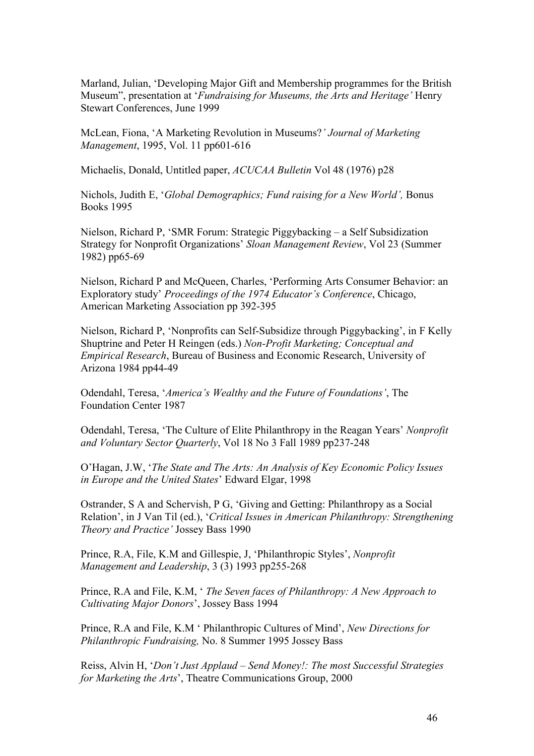Marland, Julian, 'Developing Major Gift and Membership programmes for the British Museum", presentation at '*Fundraising for Museums, the Arts and Heritage'* Henry Stewart Conferences, June 1999

McLean, Fiona, 'A Marketing Revolution in Museums?*' Journal of Marketing Management*, 1995, Vol. 11 pp601-616

Michaelis, Donald, Untitled paper, *ACUCAA Bulletin* Vol 48 (1976) p28

Nichols, Judith E, '*Global Demographics; Fund raising for a New World',* Bonus Books 1995

Nielson, Richard P, 'SMR Forum: Strategic Piggybacking – a Self Subsidization Strategy for Nonprofit Organizations' *Sloan Management Review*, Vol 23 (Summer 1982) pp65-69

Nielson, Richard P and McQueen, Charles, 'Performing Arts Consumer Behavior: an Exploratory study' *Proceedings of the 1974 Educator's Conference*, Chicago, American Marketing Association pp 392-395

Nielson, Richard P, 'Nonprofits can Self-Subsidize through Piggybacking', in F Kelly Shuptrine and Peter H Reingen (eds.) *Non-Profit Marketing; Conceptual and Empirical Research*, Bureau of Business and Economic Research, University of Arizona 1984 pp44-49

Odendahl, Teresa, '*America's Wealthy and the Future of Foundations'*, The Foundation Center 1987

Odendahl, Teresa, 'The Culture of Elite Philanthropy in the Reagan Years' *Nonprofit and Voluntary Sector Quarterly*, Vol 18 No 3 Fall 1989 pp237-248

O'Hagan, J.W, '*The State and The Arts: An Analysis of Key Economic Policy Issues in Europe and the United States*' Edward Elgar, 1998

Ostrander, S A and Schervish, P G, 'Giving and Getting: Philanthropy as a Social Relation', in J Van Til (ed.), '*Critical Issues in American Philanthropy: Strengthening Theory and Practice'* Jossey Bass 1990

Prince, R.A, File, K.M and Gillespie, J, 'Philanthropic Styles', *Nonprofit Management and Leadership*, 3 (3) 1993 pp255-268

Prince, R.A and File, K.M, ' *The Seven faces of Philanthropy: A New Approach to Cultivating Major Donors*', Jossey Bass 1994

Prince, R.A and File, K.M ' Philanthropic Cultures of Mind', *New Directions for Philanthropic Fundraising,* No. 8 Summer 1995 Jossey Bass

Reiss, Alvin H, '*Don't Just Applaud – Send Money!: The most Successful Strategies for Marketing the Arts*', Theatre Communications Group, 2000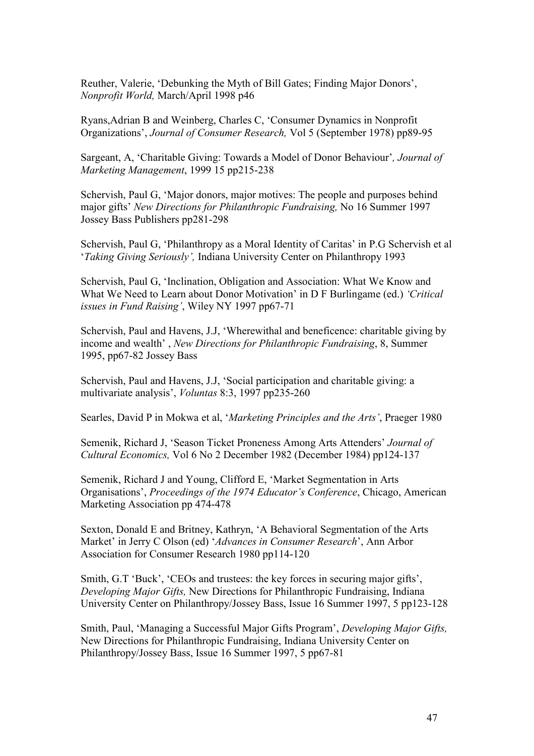Reuther, Valerie, 'Debunking the Myth of Bill Gates; Finding Major Donors', *Nonprofit World,* March/April 1998 p46

Ryans,Adrian B and Weinberg, Charles C, 'Consumer Dynamics in Nonprofit Organizations', *Journal of Consumer Research,* Vol 5 (September 1978) pp89-95

Sargeant, A, 'Charitable Giving: Towards a Model of Donor Behaviour'*, Journal of Marketing Management*, 1999 15 pp215-238

Schervish, Paul G, 'Major donors, major motives: The people and purposes behind major gifts' *New Directions for Philanthropic Fundraising,* No 16 Summer 1997 Jossey Bass Publishers pp281-298

Schervish, Paul G, 'Philanthropy as a Moral Identity of Caritas' in P.G Schervish et al '*Taking Giving Seriously',* Indiana University Center on Philanthropy 1993

Schervish, Paul G, 'Inclination, Obligation and Association: What We Know and What We Need to Learn about Donor Motivation' in D F Burlingame (ed.) *'Critical issues in Fund Raising'*, Wiley NY 1997 pp67-71

Schervish, Paul and Havens, J.J, 'Wherewithal and beneficence: charitable giving by income and wealth' , *New Directions for Philanthropic Fundraising*, 8, Summer 1995, pp67-82 Jossey Bass

Schervish, Paul and Havens, J.J, 'Social participation and charitable giving: a multivariate analysis', *Voluntas* 8:3, 1997 pp235-260

Searles, David P in Mokwa et al, '*Marketing Principles and the Arts'*, Praeger 1980

Semenik, Richard J, 'Season Ticket Proneness Among Arts Attenders' *Journal of Cultural Economics,* Vol 6 No 2 December 1982 (December 1984) pp124-137

Semenik, Richard J and Young, Clifford E, 'Market Segmentation in Arts Organisations', *Proceedings of the 1974 Educator's Conference*, Chicago, American Marketing Association pp 474-478

Sexton, Donald E and Britney, Kathryn, 'A Behavioral Segmentation of the Arts Market' in Jerry C Olson (ed) '*Advances in Consumer Research*', Ann Arbor Association for Consumer Research 1980 pp114-120

Smith, G.T 'Buck', 'CEOs and trustees: the key forces in securing major gifts', *Developing Major Gifts,* New Directions for Philanthropic Fundraising, Indiana University Center on Philanthropy/Jossey Bass, Issue 16 Summer 1997, 5 pp123-128

Smith, Paul, 'Managing a Successful Major Gifts Program', *Developing Major Gifts,* New Directions for Philanthropic Fundraising, Indiana University Center on Philanthropy/Jossey Bass, Issue 16 Summer 1997, 5 pp67-81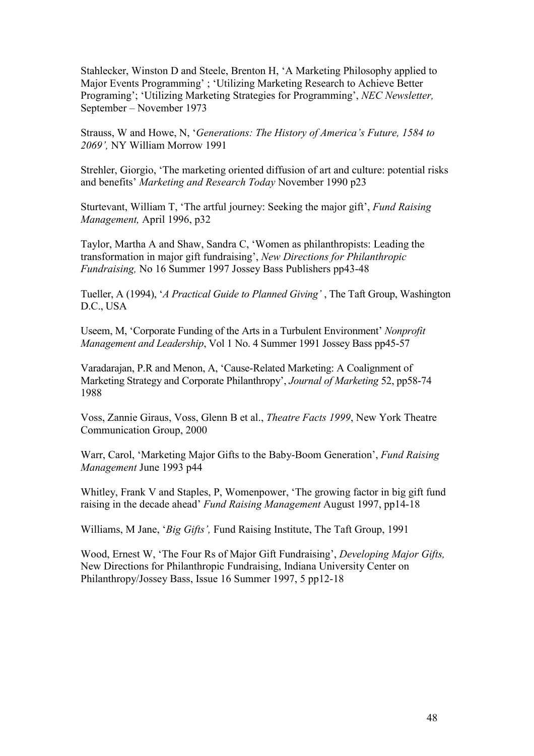Stahlecker, Winston D and Steele, Brenton H, 'A Marketing Philosophy applied to Major Events Programming' ; 'Utilizing Marketing Research to Achieve Better Programing'; 'Utilizing Marketing Strategies for Programming', *NEC Newsletter,* September – November 1973

Strauss, W and Howe, N, '*Generations: The History of America's Future, 1584 to 2069',* NY William Morrow 1991

Strehler, Giorgio, 'The marketing oriented diffusion of art and culture: potential risks and benefits' *Marketing and Research Today* November 1990 p23

Sturtevant, William T, 'The artful journey: Seeking the major gift', *Fund Raising Management,* April 1996, p32

Taylor, Martha A and Shaw, Sandra C, 'Women as philanthropists: Leading the transformation in major gift fundraising', *New Directions for Philanthropic Fundraising,* No 16 Summer 1997 Jossey Bass Publishers pp43-48

Tueller, A (1994), '*A Practical Guide to Planned Giving'* , The Taft Group, Washington D.C., USA

Useem, M, 'Corporate Funding of the Arts in a Turbulent Environment' *Nonprofit Management and Leadership*, Vol 1 No. 4 Summer 1991 Jossey Bass pp45-57

Varadarajan, P.R and Menon, A, 'Cause-Related Marketing: A Coalignment of Marketing Strategy and Corporate Philanthropy', *Journal of Marketing* 52, pp58-74 1988

Voss, Zannie Giraus, Voss, Glenn B et al., *Theatre Facts 1999*, New York Theatre Communication Group, 2000

Warr, Carol, 'Marketing Major Gifts to the Baby-Boom Generation', *Fund Raising Management* June 1993 p44

Whitley, Frank V and Staples, P, Womenpower, 'The growing factor in big gift fund raising in the decade ahead' *Fund Raising Management* August 1997, pp14-18

Williams, M Jane, '*Big Gifts',* Fund Raising Institute, The Taft Group, 1991

Wood, Ernest W, 'The Four Rs of Major Gift Fundraising', *Developing Major Gifts,* New Directions for Philanthropic Fundraising, Indiana University Center on Philanthropy/Jossey Bass, Issue 16 Summer 1997, 5 pp12-18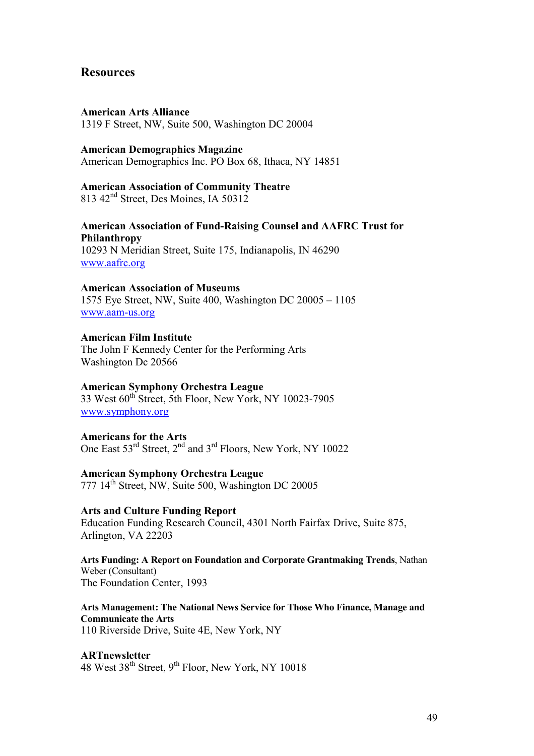#### **Resources**

**American Arts Alliance** 1319 F Street, NW, Suite 500, Washington DC 20004

#### **American Demographics Magazine**

American Demographics Inc. PO Box 68, Ithaca, NY 14851

#### **American Association of Community Theatre**

813 42nd Street, Des Moines, IA 50312

**American Association of Fund-Raising Counsel and AAFRC Trust for Philanthropy** 10293 N Meridian Street, Suite 175, Indianapolis, IN 46290 [www.aafrc.org](http://www.aafrc.org/)

#### **American Association of Museums**

1575 Eye Street, NW, Suite 400, Washington DC 20005 – 1105 [www.aam-us.org](http://www.aam-us.org/)

#### **American Film Institute**

The John F Kennedy Center for the Performing Arts Washington Dc 20566

## **American Symphony Orchestra League**

33 West  $60^{th}$  Street, 5th Floor, New York, NY 10023-7905 [www.symphony.org](http://www.symphony.org/)

## **Americans for the Arts**

One East  $53^{\text{rd}}$  Street,  $2^{\text{nd}}$  and  $3^{\text{rd}}$  Floors, New York, NY 10022

#### **American Symphony Orchestra League**

777 14th Street, NW, Suite 500, Washington DC 20005

#### **Arts and Culture Funding Report**

Education Funding Research Council, 4301 North Fairfax Drive, Suite 875, Arlington, VA 22203

**Arts Funding: A Report on Foundation and Corporate Grantmaking Trends**, Nathan Weber (Consultant) The Foundation Center, 1993

#### **Arts Management: The National News Service for Those Who Finance, Manage and Communicate the Arts** 110 Riverside Drive, Suite 4E, New York, NY

**ARTnewsletter**

48 West 38<sup>th</sup> Street, 9<sup>th</sup> Floor, New York, NY 10018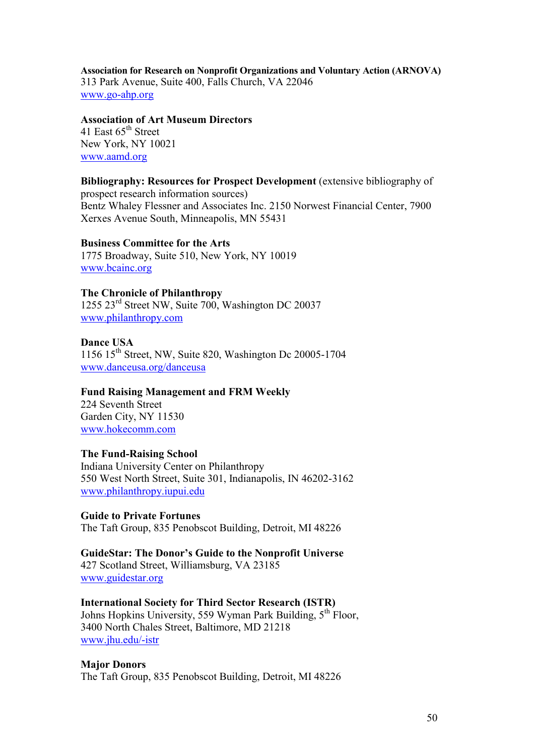**Association for Research on Nonprofit Organizations and Voluntary Action (ARNOVA)** 313 Park Avenue, Suite 400, Falls Church, VA 22046 [www.go-ahp.org](http://www.go-ahp.org/)

**Association of Art Museum Directors** 41 East  $65<sup>th</sup>$  Street New York, NY 10021

[www.aamd.org](http://www.aamd.org/)

**Bibliography: Resources for Prospect Development** (extensive bibliography of prospect research information sources) Bentz Whaley Flessner and Associates Inc. 2150 Norwest Financial Center, 7900 Xerxes Avenue South, Minneapolis, MN 55431

**Business Committee for the Arts** 1775 Broadway, Suite 510, New York, NY 10019 [www.bcainc.org](http://www.bcainc.org/)

**The Chronicle of Philanthropy**

1255 23rd Street NW, Suite 700, Washington DC 20037 [www.philanthropy.com](http://www.philanthropy.com/)

**Dance USA** 1156 15th Street, NW, Suite 820, Washington Dc 20005-1704 [www.danceusa.org/danceusa](http://www.danceusa.org/danceusa)

**Fund Raising Management and FRM Weekly**

224 Seventh Street Garden City, NY 11530 [www.hokecomm.com](http://www.hokecomm.com/)

## **The Fund-Raising School**

Indiana University Center on Philanthropy 550 West North Street, Suite 301, Indianapolis, IN 46202-3162 [www.philanthropy.iupui.edu](http://www.philanthropy.iupui.edu/)

**Guide to Private Fortunes** The Taft Group, 835 Penobscot Building, Detroit, MI 48226

**GuideStar: The Donor's Guide to the Nonprofit Universe** 427 Scotland Street, Williamsburg, VA 23185 [www.guidestar.org](http://www.guidestar.org/)

#### **International Society for Third Sector Research (ISTR)**

Johns Hopkins University, 559 Wyman Park Building, 5<sup>th</sup> Floor, 3400 North Chales Street, Baltimore, MD 21218 [www.jhu.edu/-istr](http://www.jhu.edu/-istr)

## **Major Donors**

The Taft Group, 835 Penobscot Building, Detroit, MI 48226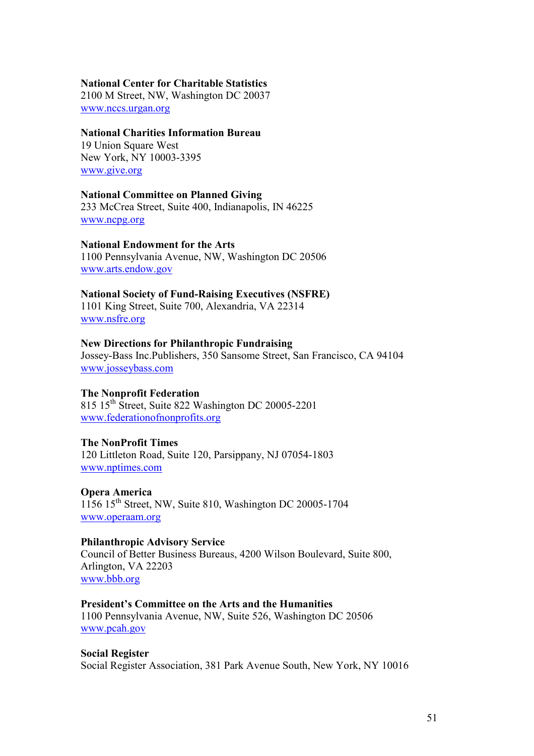#### **National Center for Charitable Statistics**

2100 M Street, NW, Washington DC 20037 [www.nccs.urgan.org](http://www.nccs.urgan.org/)

#### **National Charities Information Bureau**

19 Union Square West New York, NY 10003-3395 [www.give.org](http://www.give.org/)

### **National Committee on Planned Giving**

233 McCrea Street, Suite 400, Indianapolis, IN 46225 [www.ncpg.org](http://www.ncpg.org/)

#### **National Endowment for the Arts**

1100 Pennsylvania Avenue, NW, Washington DC 20506 [www.arts.endow.gov](http://www.arts.endow.gov/)

#### **National Society of Fund-Raising Executives (NSFRE)**

1101 King Street, Suite 700, Alexandria, VA 22314 [www.nsfre.org](http://www.nsfre.org/)

### **New Directions for Philanthropic Fundraising**

Jossey-Bass Inc.Publishers, 350 Sansome Street, San Francisco, CA 94104 [www.josseybass.com](http://www.josseybass.com/)

#### **The Nonprofit Federation**

815 15th Street, Suite 822 Washington DC 20005-2201 [www.federationofnonprofits.org](http://www.federationofnonprofits.org/)

#### **The NonProfit Times**

120 Littleton Road, Suite 120, Parsippany, NJ 07054-1803 [www.nptimes.com](http://www.nptimes.com/)

**Opera America** 1156 15th Street, NW, Suite 810, Washington DC 20005-1704 [www.operaam.org](http://www.operaam.org/)

#### **Philanthropic Advisory Service**

Council of Better Business Bureaus, 4200 Wilson Boulevard, Suite 800, Arlington, VA 22203 [www.bbb.org](http://www.bbb.org/)

#### **President's Committee on the Arts and the Humanities**

1100 Pennsylvania Avenue, NW, Suite 526, Washington DC 20506 [www.pcah.gov](http://www.pcah.gov/)

**Social Register** Social Register Association, 381 Park Avenue South, New York, NY 10016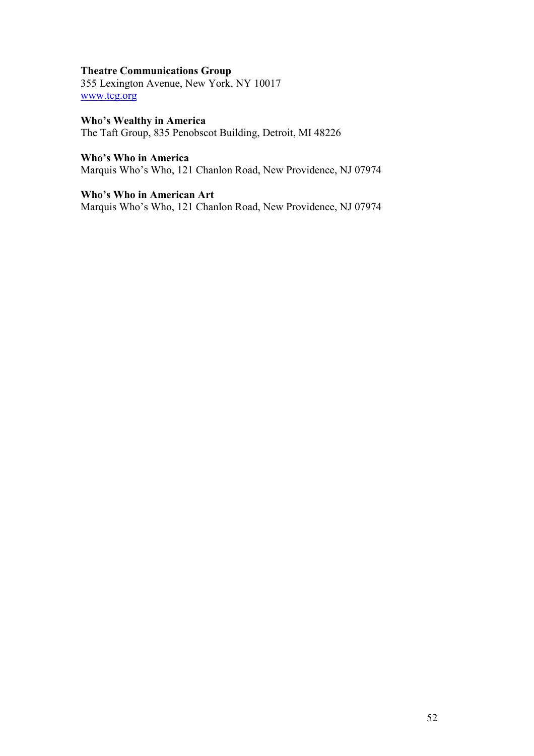#### **Theatre Communications Group**

355 Lexington Avenue, New York, NY 10017 [www.tcg.org](http://www.tcg.org/)

#### **Who's Wealthy in America**

The Taft Group, 835 Penobscot Building, Detroit, MI 48226

## **Who's Who in America**

Marquis Who's Who, 121 Chanlon Road, New Providence, NJ 07974

### **Who's Who in American Art**

Marquis Who's Who, 121 Chanlon Road, New Providence, NJ 07974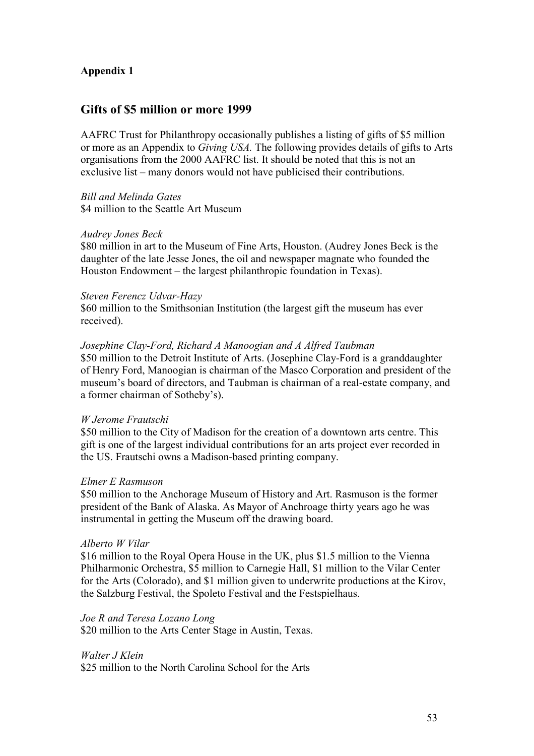## **Appendix 1**

## **Gifts of \$5 million or more 1999**

AAFRC Trust for Philanthropy occasionally publishes a listing of gifts of \$5 million or more as an Appendix to *Giving USA.* The following provides details of gifts to Arts organisations from the 2000 AAFRC list. It should be noted that this is not an exclusive list – many donors would not have publicised their contributions.

## *Bill and Melinda Gates*

\$4 million to the Seattle Art Museum

#### *Audrey Jones Beck*

\$80 million in art to the Museum of Fine Arts, Houston. (Audrey Jones Beck is the daughter of the late Jesse Jones, the oil and newspaper magnate who founded the Houston Endowment – the largest philanthropic foundation in Texas).

#### *Steven Ferencz Udvar-Hazy*

\$60 million to the Smithsonian Institution (the largest gift the museum has ever received).

## *Josephine Clay-Ford, Richard A Manoogian and A Alfred Taubman*

\$50 million to the Detroit Institute of Arts. (Josephine Clay-Ford is a granddaughter of Henry Ford, Manoogian is chairman of the Masco Corporation and president of the museum's board of directors, and Taubman is chairman of a real-estate company, and a former chairman of Sotheby's).

#### *W Jerome Frautschi*

\$50 million to the City of Madison for the creation of a downtown arts centre. This gift is one of the largest individual contributions for an arts project ever recorded in the US. Frautschi owns a Madison-based printing company.

#### *Elmer E Rasmuson*

\$50 million to the Anchorage Museum of History and Art. Rasmuson is the former president of the Bank of Alaska. As Mayor of Anchroage thirty years ago he was instrumental in getting the Museum off the drawing board.

#### *Alberto W Vilar*

\$16 million to the Royal Opera House in the UK, plus \$1.5 million to the Vienna Philharmonic Orchestra, \$5 million to Carnegie Hall, \$1 million to the Vilar Center for the Arts (Colorado), and \$1 million given to underwrite productions at the Kirov, the Salzburg Festival, the Spoleto Festival and the Festspielhaus.

### *Joe R and Teresa Lozano Long*

\$20 million to the Arts Center Stage in Austin, Texas.

*Walter J Klein*

\$25 million to the North Carolina School for the Arts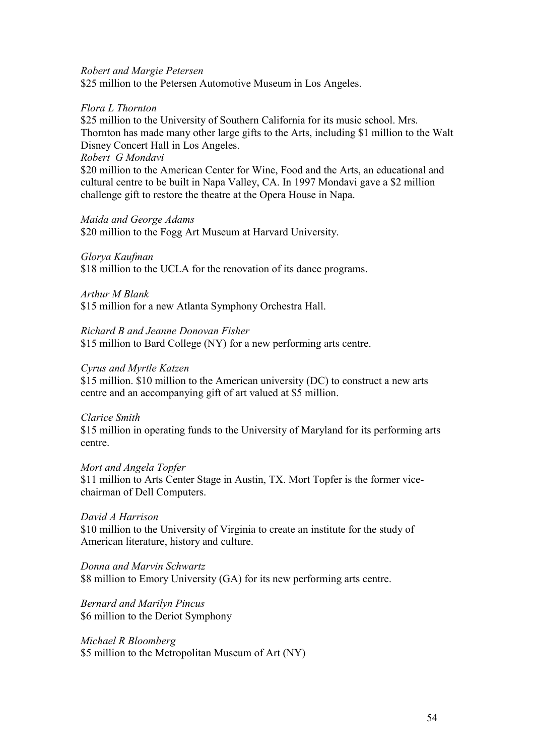#### *Robert and Margie Petersen*

\$25 million to the Petersen Automotive Museum in Los Angeles.

#### *Flora L Thornton*

\$25 million to the University of Southern California for its music school. Mrs. Thornton has made many other large gifts to the Arts, including \$1 million to the Walt Disney Concert Hall in Los Angeles.

*Robert G Mondavi*

\$20 million to the American Center for Wine, Food and the Arts, an educational and cultural centre to be built in Napa Valley, CA. In 1997 Mondavi gave a \$2 million challenge gift to restore the theatre at the Opera House in Napa.

#### *Maida and George Adams*

\$20 million to the Fogg Art Museum at Harvard University.

#### *Glorya Kaufman*

\$18 million to the UCLA for the renovation of its dance programs.

#### *Arthur M Blank*

\$15 million for a new Atlanta Symphony Orchestra Hall.

#### *Richard B and Jeanne Donovan Fisher*

\$15 million to Bard College (NY) for a new performing arts centre.

#### *Cyrus and Myrtle Katzen*

\$15 million. \$10 million to the American university (DC) to construct a new arts centre and an accompanying gift of art valued at \$5 million.

#### *Clarice Smith*

\$15 million in operating funds to the University of Maryland for its performing arts centre.

#### *Mort and Angela Topfer*

\$11 million to Arts Center Stage in Austin, TX. Mort Topfer is the former vicechairman of Dell Computers.

#### *David A Harrison*

\$10 million to the University of Virginia to create an institute for the study of American literature, history and culture.

*Donna and Marvin Schwartz* \$8 million to Emory University (GA) for its new performing arts centre.

*Bernard and Marilyn Pincus* \$6 million to the Deriot Symphony

*Michael R Bloomberg* \$5 million to the Metropolitan Museum of Art (NY)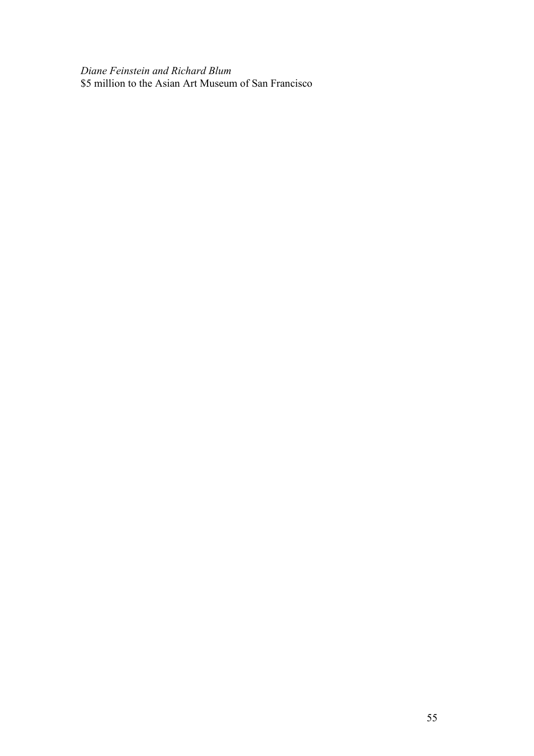*Diane Feinstein and Richard Blum* \$5 million to the Asian Art Museum of San Francisco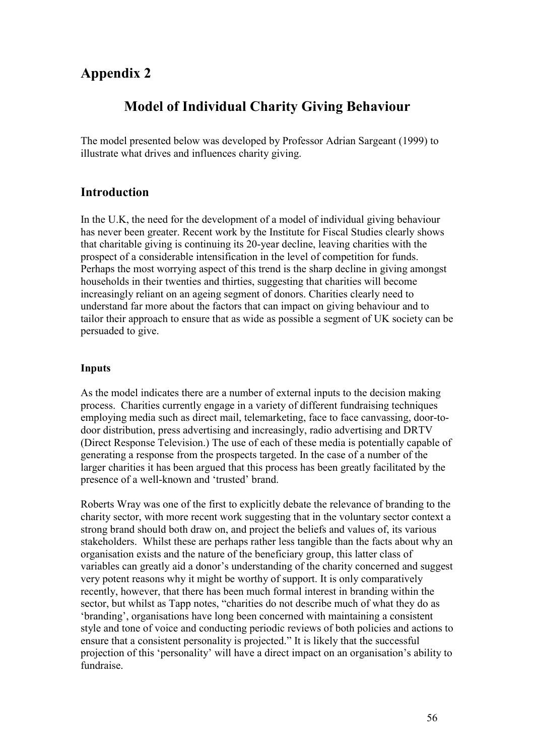# **Appendix 2**

# **Model of Individual Charity Giving Behaviour**

The model presented below was developed by Professor Adrian Sargeant (1999) to illustrate what drives and influences charity giving.

## **Introduction**

In the U.K, the need for the development of a model of individual giving behaviour has never been greater. Recent work by the Institute for Fiscal Studies clearly shows that charitable giving is continuing its 20-year decline, leaving charities with the prospect of a considerable intensification in the level of competition for funds. Perhaps the most worrying aspect of this trend is the sharp decline in giving amongst households in their twenties and thirties, suggesting that charities will become increasingly reliant on an ageing segment of donors. Charities clearly need to understand far more about the factors that can impact on giving behaviour and to tailor their approach to ensure that as wide as possible a segment of UK society can be persuaded to give.

## **Inputs**

As the model indicates there are a number of external inputs to the decision making process. Charities currently engage in a variety of different fundraising techniques employing media such as direct mail, telemarketing, face to face canvassing, door-todoor distribution, press advertising and increasingly, radio advertising and DRTV (Direct Response Television.) The use of each of these media is potentially capable of generating a response from the prospects targeted. In the case of a number of the larger charities it has been argued that this process has been greatly facilitated by the presence of a well-known and 'trusted' brand.

Roberts Wray was one of the first to explicitly debate the relevance of branding to the charity sector, with more recent work suggesting that in the voluntary sector context a strong brand should both draw on, and project the beliefs and values of, its various stakeholders. Whilst these are perhaps rather less tangible than the facts about why an organisation exists and the nature of the beneficiary group, this latter class of variables can greatly aid a donor's understanding of the charity concerned and suggest very potent reasons why it might be worthy of support. It is only comparatively recently, however, that there has been much formal interest in branding within the sector, but whilst as Tapp notes, "charities do not describe much of what they do as 'branding', organisations have long been concerned with maintaining a consistent style and tone of voice and conducting periodic reviews of both policies and actions to ensure that a consistent personality is projected." It is likely that the successful projection of this 'personality' will have a direct impact on an organisation's ability to fundraise.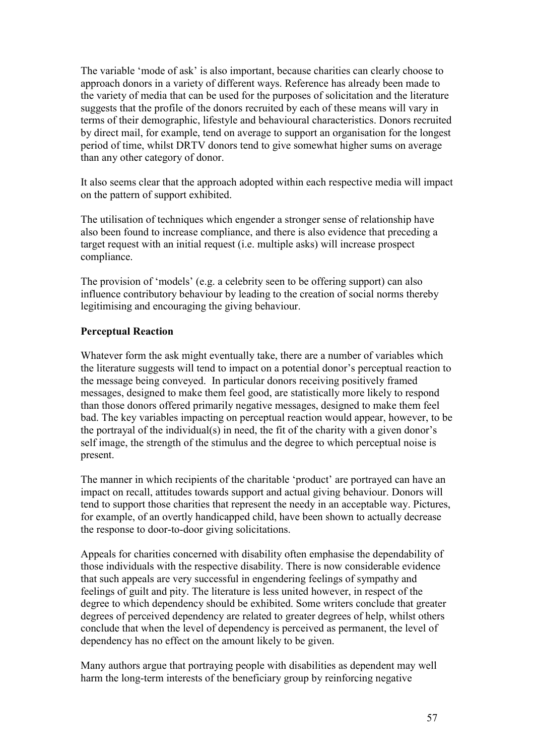The variable 'mode of ask' is also important, because charities can clearly choose to approach donors in a variety of different ways. Reference has already been made to the variety of media that can be used for the purposes of solicitation and the literature suggests that the profile of the donors recruited by each of these means will vary in terms of their demographic, lifestyle and behavioural characteristics. Donors recruited by direct mail, for example, tend on average to support an organisation for the longest period of time, whilst DRTV donors tend to give somewhat higher sums on average than any other category of donor.

It also seems clear that the approach adopted within each respective media will impact on the pattern of support exhibited.

The utilisation of techniques which engender a stronger sense of relationship have also been found to increase compliance, and there is also evidence that preceding a target request with an initial request (i.e. multiple asks) will increase prospect compliance.

The provision of 'models' (e.g. a celebrity seen to be offering support) can also influence contributory behaviour by leading to the creation of social norms thereby legitimising and encouraging the giving behaviour.

## **Perceptual Reaction**

Whatever form the ask might eventually take, there are a number of variables which the literature suggests will tend to impact on a potential donor's perceptual reaction to the message being conveyed. In particular donors receiving positively framed messages, designed to make them feel good, are statistically more likely to respond than those donors offered primarily negative messages, designed to make them feel bad. The key variables impacting on perceptual reaction would appear, however, to be the portrayal of the individual(s) in need, the fit of the charity with a given donor's self image, the strength of the stimulus and the degree to which perceptual noise is present.

The manner in which recipients of the charitable 'product' are portrayed can have an impact on recall, attitudes towards support and actual giving behaviour. Donors will tend to support those charities that represent the needy in an acceptable way. Pictures, for example, of an overtly handicapped child, have been shown to actually decrease the response to door-to-door giving solicitations.

Appeals for charities concerned with disability often emphasise the dependability of those individuals with the respective disability. There is now considerable evidence that such appeals are very successful in engendering feelings of sympathy and feelings of guilt and pity. The literature is less united however, in respect of the degree to which dependency should be exhibited. Some writers conclude that greater degrees of perceived dependency are related to greater degrees of help, whilst others conclude that when the level of dependency is perceived as permanent, the level of dependency has no effect on the amount likely to be given.

Many authors argue that portraying people with disabilities as dependent may well harm the long-term interests of the beneficiary group by reinforcing negative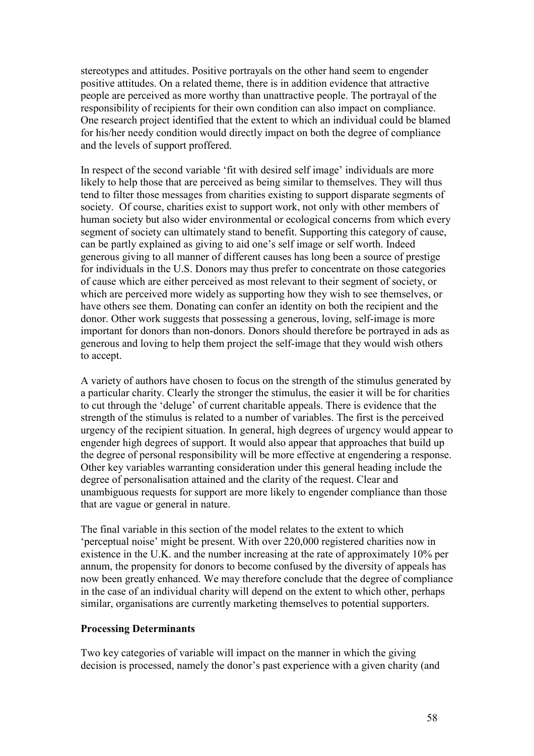stereotypes and attitudes. Positive portrayals on the other hand seem to engender positive attitudes. On a related theme, there is in addition evidence that attractive people are perceived as more worthy than unattractive people. The portrayal of the responsibility of recipients for their own condition can also impact on compliance. One research project identified that the extent to which an individual could be blamed for his/her needy condition would directly impact on both the degree of compliance and the levels of support proffered.

In respect of the second variable 'fit with desired self image' individuals are more likely to help those that are perceived as being similar to themselves. They will thus tend to filter those messages from charities existing to support disparate segments of society. Of course, charities exist to support work, not only with other members of human society but also wider environmental or ecological concerns from which every segment of society can ultimately stand to benefit. Supporting this category of cause, can be partly explained as giving to aid one's self image or self worth. Indeed generous giving to all manner of different causes has long been a source of prestige for individuals in the U.S. Donors may thus prefer to concentrate on those categories of cause which are either perceived as most relevant to their segment of society, or which are perceived more widely as supporting how they wish to see themselves, or have others see them. Donating can confer an identity on both the recipient and the donor. Other work suggests that possessing a generous, loving, self-image is more important for donors than non-donors. Donors should therefore be portrayed in ads as generous and loving to help them project the self-image that they would wish others to accept.

A variety of authors have chosen to focus on the strength of the stimulus generated by a particular charity. Clearly the stronger the stimulus, the easier it will be for charities to cut through the 'deluge' of current charitable appeals. There is evidence that the strength of the stimulus is related to a number of variables. The first is the perceived urgency of the recipient situation. In general, high degrees of urgency would appear to engender high degrees of support. It would also appear that approaches that build up the degree of personal responsibility will be more effective at engendering a response. Other key variables warranting consideration under this general heading include the degree of personalisation attained and the clarity of the request. Clear and unambiguous requests for support are more likely to engender compliance than those that are vague or general in nature.

The final variable in this section of the model relates to the extent to which 'perceptual noise' might be present. With over 220,000 registered charities now in existence in the U.K. and the number increasing at the rate of approximately 10% per annum, the propensity for donors to become confused by the diversity of appeals has now been greatly enhanced. We may therefore conclude that the degree of compliance in the case of an individual charity will depend on the extent to which other, perhaps similar, organisations are currently marketing themselves to potential supporters.

#### **Processing Determinants**

Two key categories of variable will impact on the manner in which the giving decision is processed, namely the donor's past experience with a given charity (and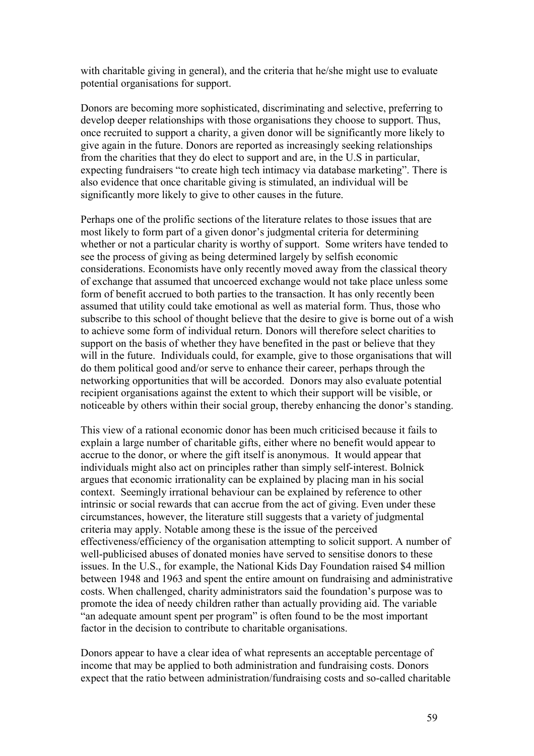with charitable giving in general), and the criteria that he/she might use to evaluate potential organisations for support.

Donors are becoming more sophisticated, discriminating and selective, preferring to develop deeper relationships with those organisations they choose to support. Thus, once recruited to support a charity, a given donor will be significantly more likely to give again in the future. Donors are reported as increasingly seeking relationships from the charities that they do elect to support and are, in the U.S in particular, expecting fundraisers "to create high tech intimacy via database marketing". There is also evidence that once charitable giving is stimulated, an individual will be significantly more likely to give to other causes in the future.

Perhaps one of the prolific sections of the literature relates to those issues that are most likely to form part of a given donor's judgmental criteria for determining whether or not a particular charity is worthy of support. Some writers have tended to see the process of giving as being determined largely by selfish economic considerations. Economists have only recently moved away from the classical theory of exchange that assumed that uncoerced exchange would not take place unless some form of benefit accrued to both parties to the transaction. It has only recently been assumed that utility could take emotional as well as material form. Thus, those who subscribe to this school of thought believe that the desire to give is borne out of a wish to achieve some form of individual return. Donors will therefore select charities to support on the basis of whether they have benefited in the past or believe that they will in the future. Individuals could, for example, give to those organisations that will do them political good and/or serve to enhance their career, perhaps through the networking opportunities that will be accorded. Donors may also evaluate potential recipient organisations against the extent to which their support will be visible, or noticeable by others within their social group, thereby enhancing the donor's standing.

This view of a rational economic donor has been much criticised because it fails to explain a large number of charitable gifts, either where no benefit would appear to accrue to the donor, or where the gift itself is anonymous. It would appear that individuals might also act on principles rather than simply self-interest. Bolnick argues that economic irrationality can be explained by placing man in his social context. Seemingly irrational behaviour can be explained by reference to other intrinsic or social rewards that can accrue from the act of giving. Even under these circumstances, however, the literature still suggests that a variety of judgmental criteria may apply. Notable among these is the issue of the perceived effectiveness/efficiency of the organisation attempting to solicit support. A number of well-publicised abuses of donated monies have served to sensitise donors to these issues. In the U.S., for example, the National Kids Day Foundation raised \$4 million between 1948 and 1963 and spent the entire amount on fundraising and administrative costs. When challenged, charity administrators said the foundation's purpose was to promote the idea of needy children rather than actually providing aid. The variable "an adequate amount spent per program" is often found to be the most important factor in the decision to contribute to charitable organisations.

Donors appear to have a clear idea of what represents an acceptable percentage of income that may be applied to both administration and fundraising costs. Donors expect that the ratio between administration/fundraising costs and so-called charitable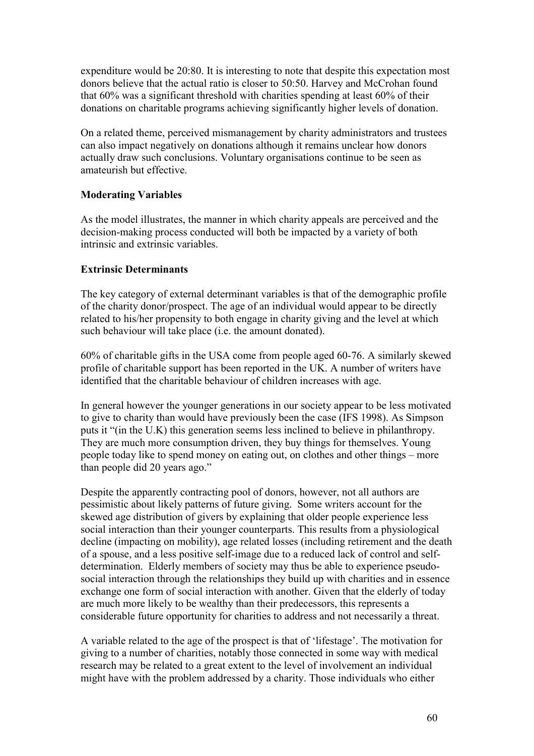expenditure would be 20:80. It is interesting to note that despite this expectation most donors believe that the actual ratio is closer to 50:50. Harvey and McCrohan found that 60% was a significant threshold with charities spending at least 60% of their donations on charitable programs achieving significantly higher levels of donation.

On a related theme, perceived mismanagement by charity administrators and trustees can also impact negatively on donations although it remains unclear how donors actually draw such conclusions. Voluntary organisations continue to be seen as amateurish but effective.

## **Moderating Variables**

As the model illustrates, the manner in which charity appeals are perceived and the decision-making process conducted will both be impacted by a variety of both intrinsic and extrinsic variables.

## **Extrinsic Determinants**

The key category of external determinant variables is that of the demographic profile of the charity donor/prospect. The age of an individual would appear to be directly related to his/her propensity to both engage in charity giving and the level at which such behaviour will take place (i.e. the amount donated).

60% of charitable gifts in the USA come from people aged 60-76. A similarly skewed profile of charitable support has been reported in the UK. A number of writers have identified that the charitable behaviour of children increases with age.

In general however the younger generations in our society appear to be less motivated to give to charity than would have previously been the case (IFS 1998). As Simpson puts it "(in the U.K) this generation seems less inclined to believe in philanthropy. They are much more consumption driven, they buy things for themselves. Young people today like to spend money on eating out, on clothes and other things – more than people did 20 years ago."

Despite the apparently contracting pool of donors, however, not all authors are pessimistic about likely patterns of future giving. Some writers account for the skewed age distribution of givers by explaining that older people experience less social interaction than their younger counterparts. This results from a physiological decline (impacting on mobility), age related losses (including retirement and the death of a spouse, and a less positive self-image due to a reduced lack of control and selfdetermination. Elderly members of society may thus be able to experience pseudosocial interaction through the relationships they build up with charities and in essence exchange one form of social interaction with another. Given that the elderly of today are much more likely to be wealthy than their predecessors, this represents a considerable future opportunity for charities to address and not necessarily a threat.

A variable related to the age of the prospect is that of 'lifestage'. The motivation for giving to a number of charities, notably those connected in some way with medical research may be related to a great extent to the level of involvement an individual might have with the problem addressed by a charity. Those individuals who either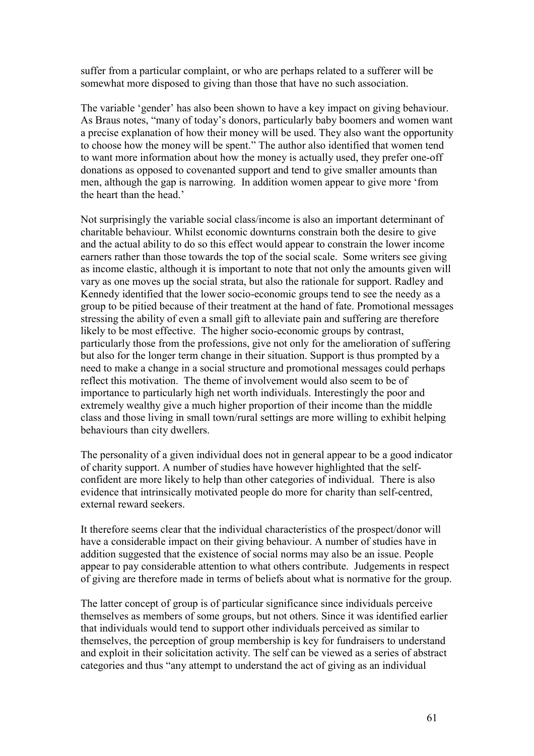suffer from a particular complaint, or who are perhaps related to a sufferer will be somewhat more disposed to giving than those that have no such association.

The variable 'gender' has also been shown to have a key impact on giving behaviour. As Braus notes, "many of today's donors, particularly baby boomers and women want a precise explanation of how their money will be used. They also want the opportunity to choose how the money will be spent." The author also identified that women tend to want more information about how the money is actually used, they prefer one-off donations as opposed to covenanted support and tend to give smaller amounts than men, although the gap is narrowing. In addition women appear to give more 'from the heart than the head.'

Not surprisingly the variable social class/income is also an important determinant of charitable behaviour. Whilst economic downturns constrain both the desire to give and the actual ability to do so this effect would appear to constrain the lower income earners rather than those towards the top of the social scale. Some writers see giving as income elastic, although it is important to note that not only the amounts given will vary as one moves up the social strata, but also the rationale for support. Radley and Kennedy identified that the lower socio-economic groups tend to see the needy as a group to be pitied because of their treatment at the hand of fate. Promotional messages stressing the ability of even a small gift to alleviate pain and suffering are therefore likely to be most effective. The higher socio-economic groups by contrast, particularly those from the professions, give not only for the amelioration of suffering but also for the longer term change in their situation. Support is thus prompted by a need to make a change in a social structure and promotional messages could perhaps reflect this motivation. The theme of involvement would also seem to be of importance to particularly high net worth individuals. Interestingly the poor and extremely wealthy give a much higher proportion of their income than the middle class and those living in small town/rural settings are more willing to exhibit helping behaviours than city dwellers.

The personality of a given individual does not in general appear to be a good indicator of charity support. A number of studies have however highlighted that the selfconfident are more likely to help than other categories of individual. There is also evidence that intrinsically motivated people do more for charity than self-centred, external reward seekers.

It therefore seems clear that the individual characteristics of the prospect/donor will have a considerable impact on their giving behaviour. A number of studies have in addition suggested that the existence of social norms may also be an issue. People appear to pay considerable attention to what others contribute. Judgements in respect of giving are therefore made in terms of beliefs about what is normative for the group.

The latter concept of group is of particular significance since individuals perceive themselves as members of some groups, but not others. Since it was identified earlier that individuals would tend to support other individuals perceived as similar to themselves, the perception of group membership is key for fundraisers to understand and exploit in their solicitation activity. The self can be viewed as a series of abstract categories and thus "any attempt to understand the act of giving as an individual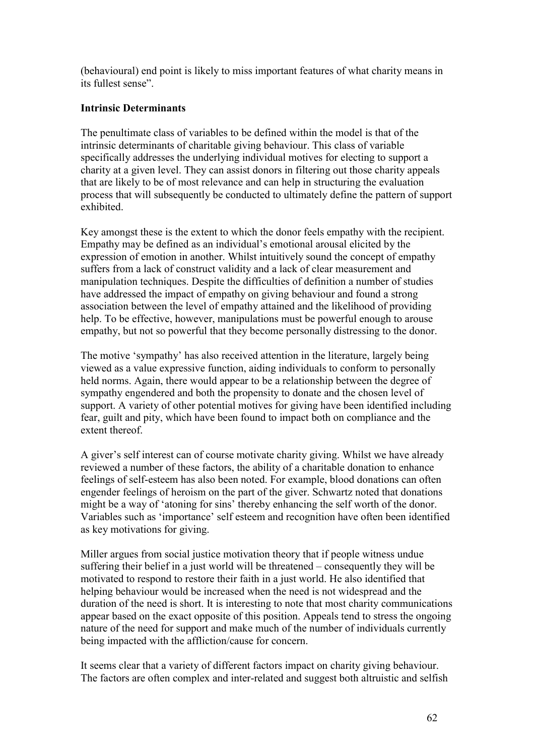(behavioural) end point is likely to miss important features of what charity means in its fullest sense".

## **Intrinsic Determinants**

The penultimate class of variables to be defined within the model is that of the intrinsic determinants of charitable giving behaviour. This class of variable specifically addresses the underlying individual motives for electing to support a charity at a given level. They can assist donors in filtering out those charity appeals that are likely to be of most relevance and can help in structuring the evaluation process that will subsequently be conducted to ultimately define the pattern of support exhibited.

Key amongst these is the extent to which the donor feels empathy with the recipient. Empathy may be defined as an individual's emotional arousal elicited by the expression of emotion in another. Whilst intuitively sound the concept of empathy suffers from a lack of construct validity and a lack of clear measurement and manipulation techniques. Despite the difficulties of definition a number of studies have addressed the impact of empathy on giving behaviour and found a strong association between the level of empathy attained and the likelihood of providing help. To be effective, however, manipulations must be powerful enough to arouse empathy, but not so powerful that they become personally distressing to the donor.

The motive 'sympathy' has also received attention in the literature, largely being viewed as a value expressive function, aiding individuals to conform to personally held norms. Again, there would appear to be a relationship between the degree of sympathy engendered and both the propensity to donate and the chosen level of support. A variety of other potential motives for giving have been identified including fear, guilt and pity, which have been found to impact both on compliance and the extent thereof.

A giver's self interest can of course motivate charity giving. Whilst we have already reviewed a number of these factors, the ability of a charitable donation to enhance feelings of self-esteem has also been noted. For example, blood donations can often engender feelings of heroism on the part of the giver. Schwartz noted that donations might be a way of 'atoning for sins' thereby enhancing the self worth of the donor. Variables such as 'importance' self esteem and recognition have often been identified as key motivations for giving.

Miller argues from social justice motivation theory that if people witness undue suffering their belief in a just world will be threatened – consequently they will be motivated to respond to restore their faith in a just world. He also identified that helping behaviour would be increased when the need is not widespread and the duration of the need is short. It is interesting to note that most charity communications appear based on the exact opposite of this position. Appeals tend to stress the ongoing nature of the need for support and make much of the number of individuals currently being impacted with the affliction/cause for concern.

It seems clear that a variety of different factors impact on charity giving behaviour. The factors are often complex and inter-related and suggest both altruistic and selfish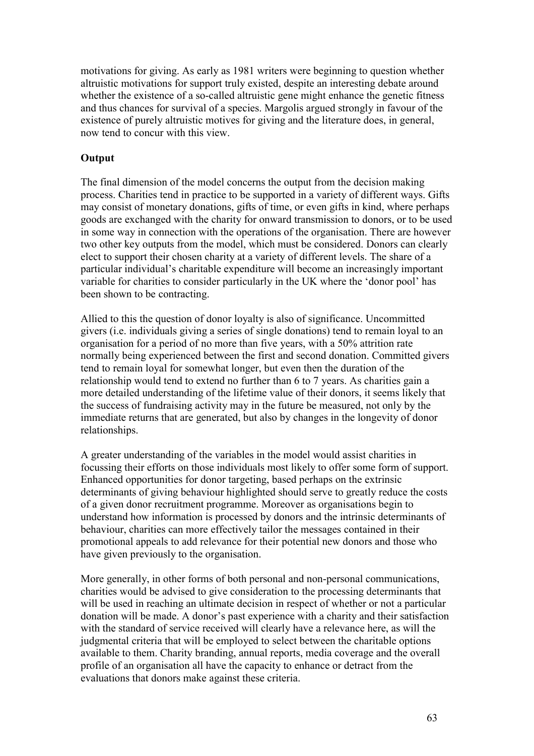motivations for giving. As early as 1981 writers were beginning to question whether altruistic motivations for support truly existed, despite an interesting debate around whether the existence of a so-called altruistic gene might enhance the genetic fitness and thus chances for survival of a species. Margolis argued strongly in favour of the existence of purely altruistic motives for giving and the literature does, in general, now tend to concur with this view.

## **Output**

The final dimension of the model concerns the output from the decision making process. Charities tend in practice to be supported in a variety of different ways. Gifts may consist of monetary donations, gifts of time, or even gifts in kind, where perhaps goods are exchanged with the charity for onward transmission to donors, or to be used in some way in connection with the operations of the organisation. There are however two other key outputs from the model, which must be considered. Donors can clearly elect to support their chosen charity at a variety of different levels. The share of a particular individual's charitable expenditure will become an increasingly important variable for charities to consider particularly in the UK where the 'donor pool' has been shown to be contracting.

Allied to this the question of donor loyalty is also of significance. Uncommitted givers (i.e. individuals giving a series of single donations) tend to remain loyal to an organisation for a period of no more than five years, with a 50% attrition rate normally being experienced between the first and second donation. Committed givers tend to remain loyal for somewhat longer, but even then the duration of the relationship would tend to extend no further than 6 to 7 years. As charities gain a more detailed understanding of the lifetime value of their donors, it seems likely that the success of fundraising activity may in the future be measured, not only by the immediate returns that are generated, but also by changes in the longevity of donor relationships.

A greater understanding of the variables in the model would assist charities in focussing their efforts on those individuals most likely to offer some form of support. Enhanced opportunities for donor targeting, based perhaps on the extrinsic determinants of giving behaviour highlighted should serve to greatly reduce the costs of a given donor recruitment programme. Moreover as organisations begin to understand how information is processed by donors and the intrinsic determinants of behaviour, charities can more effectively tailor the messages contained in their promotional appeals to add relevance for their potential new donors and those who have given previously to the organisation.

More generally, in other forms of both personal and non-personal communications, charities would be advised to give consideration to the processing determinants that will be used in reaching an ultimate decision in respect of whether or not a particular donation will be made. A donor's past experience with a charity and their satisfaction with the standard of service received will clearly have a relevance here, as will the judgmental criteria that will be employed to select between the charitable options available to them. Charity branding, annual reports, media coverage and the overall profile of an organisation all have the capacity to enhance or detract from the evaluations that donors make against these criteria.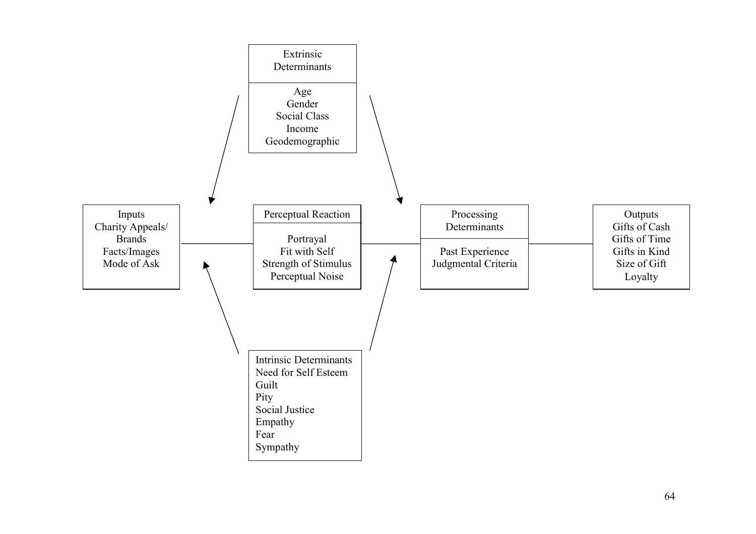